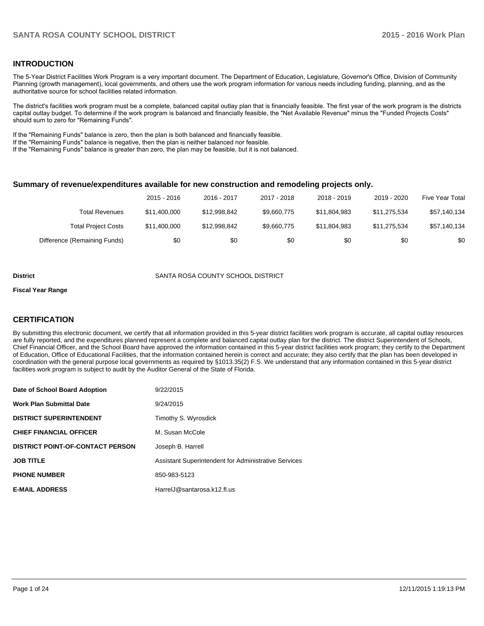### **INTRODUCTION**

The 5-Year District Facilities Work Program is a very important document. The Department of Education, Legislature, Governor's Office, Division of Community Planning (growth management), local governments, and others use the work program information for various needs including funding, planning, and as the authoritative source for school facilities related information.

The district's facilities work program must be a complete, balanced capital outlay plan that is financially feasible. The first year of the work program is the districts capital outlay budget. To determine if the work program is balanced and financially feasible, the "Net Available Revenue" minus the "Funded Projects Costs" should sum to zero for "Remaining Funds".

If the "Remaining Funds" balance is zero, then the plan is both balanced and financially feasible.

If the "Remaining Funds" balance is negative, then the plan is neither balanced nor feasible.

If the "Remaining Funds" balance is greater than zero, the plan may be feasible, but it is not balanced.

### **Summary of revenue/expenditures available for new construction and remodeling projects only.**

|                              | 2015 - 2016  | 2016 - 2017  | 2017 - 2018 | 2018 - 2019  | 2019 - 2020  | Five Year Total |
|------------------------------|--------------|--------------|-------------|--------------|--------------|-----------------|
| Total Revenues               | \$11.400.000 | \$12.998.842 | \$9.660.775 | \$11.804.983 | \$11.275.534 | \$57,140,134    |
| <b>Total Project Costs</b>   | \$11,400,000 | \$12.998.842 | \$9.660.775 | \$11.804.983 | \$11.275.534 | \$57,140,134    |
| Difference (Remaining Funds) | \$0          | \$0          | \$0         | \$0          | \$0          | \$0             |

### **District** SANTA ROSA COUNTY SCHOOL DISTRICT

#### **Fiscal Year Range**

### **CERTIFICATION**

By submitting this electronic document, we certify that all information provided in this 5-year district facilities work program is accurate, all capital outlay resources are fully reported, and the expenditures planned represent a complete and balanced capital outlay plan for the district. The district Superintendent of Schools, Chief Financial Officer, and the School Board have approved the information contained in this 5-year district facilities work program; they certify to the Department of Education, Office of Educational Facilities, that the information contained herein is correct and accurate; they also certify that the plan has been developed in coordination with the general purpose local governments as required by §1013.35(2) F.S. We understand that any information contained in this 5-year district facilities work program is subject to audit by the Auditor General of the State of Florida.

| Date of School Board Adoption           | 9/22/2015                                            |
|-----------------------------------------|------------------------------------------------------|
| <b>Work Plan Submittal Date</b>         | 9/24/2015                                            |
| <b>DISTRICT SUPERINTENDENT</b>          | Timothy S. Wyrosdick                                 |
| <b>CHIEF FINANCIAL OFFICER</b>          | M. Susan McCole                                      |
| <b>DISTRICT POINT-OF-CONTACT PERSON</b> | Joseph B. Harrell                                    |
| <b>JOB TITLE</b>                        | Assistant Superintendent for Administrative Services |
| <b>PHONE NUMBER</b>                     | 850-983-5123                                         |
| <b>E-MAIL ADDRESS</b>                   | HarrelJ@santarosa.k12.fl.us                          |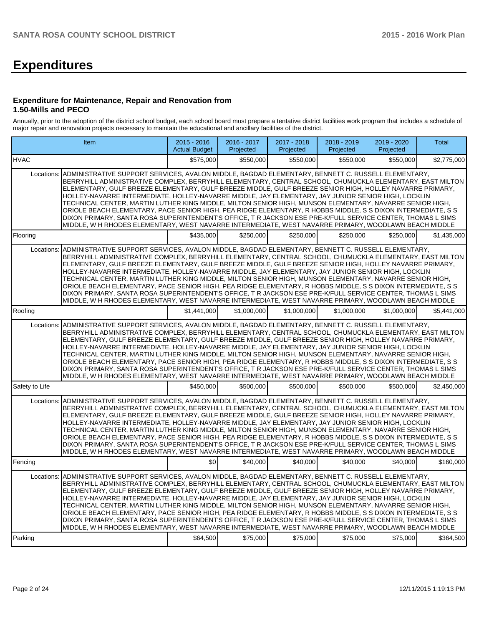# **Expenditures**

### **Expenditure for Maintenance, Repair and Renovation from 1.50-Mills and PECO**

Annually, prior to the adoption of the district school budget, each school board must prepare a tentative district facilities work program that includes a schedule of major repair and renovation projects necessary to maintain the educational and ancillary facilities of the district.

| Item                                                                                                                                                                                                                                                                                                                                                                                                                                                                                                                                                                                                                                                                                                                                                                                                                                                                                                |                                                                                                                                                                                                                                                                                                                                                                                                                                                                                                                                                                                                                                                                                                                                                                                                                                                                                                  | $2015 - 2016$<br><b>Actual Budget</b> | 2016 - 2017<br>Projected | 2017 - 2018<br>Projected | $2018 - 2019$<br>Projected | 2019 - 2020<br>Projected | <b>Total</b> |  |
|-----------------------------------------------------------------------------------------------------------------------------------------------------------------------------------------------------------------------------------------------------------------------------------------------------------------------------------------------------------------------------------------------------------------------------------------------------------------------------------------------------------------------------------------------------------------------------------------------------------------------------------------------------------------------------------------------------------------------------------------------------------------------------------------------------------------------------------------------------------------------------------------------------|--------------------------------------------------------------------------------------------------------------------------------------------------------------------------------------------------------------------------------------------------------------------------------------------------------------------------------------------------------------------------------------------------------------------------------------------------------------------------------------------------------------------------------------------------------------------------------------------------------------------------------------------------------------------------------------------------------------------------------------------------------------------------------------------------------------------------------------------------------------------------------------------------|---------------------------------------|--------------------------|--------------------------|----------------------------|--------------------------|--------------|--|
| <b>HVAC</b>                                                                                                                                                                                                                                                                                                                                                                                                                                                                                                                                                                                                                                                                                                                                                                                                                                                                                         |                                                                                                                                                                                                                                                                                                                                                                                                                                                                                                                                                                                                                                                                                                                                                                                                                                                                                                  | \$575,000                             | \$550,000                | \$550,000                | \$550,000                  | \$550,000                | \$2,775,000  |  |
| Locations:<br>ADMINISTRATIVE SUPPORT SERVICES, AVALON MIDDLE, BAGDAD ELEMENTARY, BENNETT C, RUSSELL ELEMENTARY.<br>BERRYHILL ADMINISTRATIVE COMPLEX, BERRYHILL ELEMENTARY, CENTRAL SCHOOL, CHUMUCKLA ELEMENTARY, EAST MILTON<br>ELEMENTARY, GULF BREEZE ELEMENTARY, GULF BREEZE MIDDLE, GULF BREEZE SENIOR HIGH, HOLLEY NAVARRE PRIMARY,<br>HOLLEY-NAVARRE INTERMEDIATE, HOLLEY-NAVARRE MIDDLE, JAY ELEMENTARY, JAY JUNIOR SENIOR HIGH, LOCKLIN<br>TECHNICAL CENTER, MARTIN LUTHER KING MIDDLE, MILTON SENIOR HIGH, MUNSON ELEMENTARY, NAVARRE SENIOR HIGH,<br>ORIOLE BEACH ELEMENTARY, PACE SENIOR HIGH, PEA RIDGE ELEMENTARY, R HOBBS MIDDLE, S S DIXON INTERMEDIATE, S S<br>DIXON PRIMARY, SANTA ROSA SUPERINTENDENT'S OFFICE, T R JACKSON ESE PRE-K/FULL SERVICE CENTER, THOMAS L SIMS<br>MIDDLE, W H RHODES ELEMENTARY, WEST NAVARRE INTERMEDIATE, WEST NAVARRE PRIMARY, WOODLAWN BEACH MIDDLE |                                                                                                                                                                                                                                                                                                                                                                                                                                                                                                                                                                                                                                                                                                                                                                                                                                                                                                  |                                       |                          |                          |                            |                          |              |  |
| Flooring                                                                                                                                                                                                                                                                                                                                                                                                                                                                                                                                                                                                                                                                                                                                                                                                                                                                                            |                                                                                                                                                                                                                                                                                                                                                                                                                                                                                                                                                                                                                                                                                                                                                                                                                                                                                                  | \$435,000                             | \$250,000                | \$250,000                | \$250,000                  | \$250,000                | \$1,435,000  |  |
| Locations:                                                                                                                                                                                                                                                                                                                                                                                                                                                                                                                                                                                                                                                                                                                                                                                                                                                                                          | ADMINISTRATIVE SUPPORT SERVICES, AVALON MIDDLE, BAGDAD ELEMENTARY, BENNETT C, RUSSELL ELEMENTARY,<br>BERRYHILL ADMINISTRATIVE COMPLEX, BERRYHILL ELEMENTARY, CENTRAL SCHOOL, CHUMUCKLA ELEMENTARY, EAST MILTON<br>ELEMENTARY, GULF BREEZE ELEMENTARY, GULF BREEZE MIDDLE, GULF BREEZE SENIOR HIGH, HOLLEY NAVARRE PRIMARY,<br>HOLLEY-NAVARRE INTERMEDIATE, HOLLEY-NAVARRE MIDDLE, JAY ELEMENTARY, JAY JUNIOR SENIOR HIGH, LOCKLIN<br>TECHNICAL CENTER, MARTIN LUTHER KING MIDDLE, MILTON SENIOR HIGH, MUNSON ELEMENTARY, NAVARRE SENIOR HIGH,<br>ORIOLE BEACH ELEMENTARY, PACE SENIOR HIGH, PEA RIDGE ELEMENTARY, R HOBBS MIDDLE, S S DIXON INTERMEDIATE, S S<br>DIXON PRIMARY, SANTA ROSA SUPERINTENDENT'S OFFICE, T R JACKSON ESE PRE-K/FULL SERVICE CENTER, THOMAS L SIMS<br>MIDDLE, W H RHODES ELEMENTARY, WEST NAVARRE INTERMEDIATE, WEST NAVARRE PRIMARY, WOODLAWN BEACH MIDDLE            |                                       |                          |                          |                            |                          |              |  |
| Roofing                                                                                                                                                                                                                                                                                                                                                                                                                                                                                                                                                                                                                                                                                                                                                                                                                                                                                             |                                                                                                                                                                                                                                                                                                                                                                                                                                                                                                                                                                                                                                                                                                                                                                                                                                                                                                  | \$1,441,000                           | \$1,000,000              | \$1,000,000              | \$1,000,000                | \$1,000,000              | \$5,441,000  |  |
| Locations:                                                                                                                                                                                                                                                                                                                                                                                                                                                                                                                                                                                                                                                                                                                                                                                                                                                                                          | ADMINISTRATIVE SUPPORT SERVICES, AVALON MIDDLE, BAGDAD ELEMENTARY, BENNETT C. RUSSELL ELEMENTARY,<br>BERRYHILL ADMINISTRATIVE COMPLEX, BERRYHILL ELEMENTARY, CENTRAL SCHOOL, CHUMUCKLA ELEMENTARY, EAST MILTON<br>ELEMENTARY, GULF BREEZE ELEMENTARY, GULF BREEZE MIDDLE, GULF BREEZE SENIOR HIGH, HOLLEY NAVARRE PRIMARY,<br>HOLLEY-NAVARRE INTERMEDIATE, HOLLEY-NAVARRE MIDDLE, JAY ELEMENTARY, JAY JUNIOR SENIOR HIGH, LOCKLIN<br>TECHNICAL CENTER, MARTIN LUTHER KING MIDDLE, MILTON SENIOR HIGH, MUNSON ELEMENTARY, NAVARRE SENIOR HIGH,<br>ORIOLE BEACH ELEMENTARY, PACE SENIOR HIGH, PEA RIDGE ELEMENTARY, R HOBBS MIDDLE, S S DIXON INTERMEDIATE, S S<br>DIXON PRIMARY, SANTA ROSA SUPERINTENDENT'S OFFICE, T R JACKSON ESE PRE-K/FULL SERVICE CENTER, THOMAS L SIMS<br>MIDDLE, W H RHODES ELEMENTARY, WEST NAVARRE INTERMEDIATE, WEST NAVARRE PRIMARY, WOODLAWN BEACH MIDDLE            |                                       |                          |                          |                            |                          |              |  |
| Safety to Life                                                                                                                                                                                                                                                                                                                                                                                                                                                                                                                                                                                                                                                                                                                                                                                                                                                                                      |                                                                                                                                                                                                                                                                                                                                                                                                                                                                                                                                                                                                                                                                                                                                                                                                                                                                                                  | \$450.000                             | \$500,000                | \$500,000                | \$500,000                  | \$500,000                | \$2,450,000  |  |
| Locations:                                                                                                                                                                                                                                                                                                                                                                                                                                                                                                                                                                                                                                                                                                                                                                                                                                                                                          | ADMINISTRATIVE SUPPORT SERVICES, AVALON MIDDLE, BAGDAD ELEMENTARY, BENNETT C. RUSSELL ELEMENTARY,<br>BERRYHILL ADMINISTRATIVE COMPLEX, BERRYHILL ELEMENTARY, CENTRAL SCHOOL, CHUMUCKLA ELEMENTARY, EAST MILTON<br>ELEMENTARY, GULF BREEZE ELEMENTARY, GULF BREEZE MIDDLE, GULF BREEZE SENIOR HIGH, HOLLEY NAVARRE PRIMARY,<br>HOLLEY-NAVARRE INTERMEDIATE, HOLLEY-NAVARRE MIDDLE, JAY ELEMENTARY, JAY JUNIOR SENIOR HIGH, LOCKLIN<br>TECHNICAL CENTER, MARTIN LUTHER KING MIDDLE, MILTON SENIOR HIGH, MUNSON ELEMENTARY, NAVARRE SENIOR HIGH,<br>ORIOLE BEACH ELEMENTARY, PACE SENIOR HIGH, PEA RIDGE ELEMENTARY, R HOBBS MIDDLE, S S DIXON INTERMEDIATE, S S<br>DIXON PRIMARY, SANTA ROSA SUPERINTENDENT'S OFFICE, T R JACKSON ESE PRE-K/FULL SERVICE CENTER, THOMAS L SIMS<br>MIDDLE, W H RHODES ELEMENTARY, WEST NAVARRE INTERMEDIATE, WEST NAVARRE PRIMARY, WOODLAWN BEACH MIDDLE            |                                       |                          |                          |                            |                          |              |  |
| Fencing                                                                                                                                                                                                                                                                                                                                                                                                                                                                                                                                                                                                                                                                                                                                                                                                                                                                                             |                                                                                                                                                                                                                                                                                                                                                                                                                                                                                                                                                                                                                                                                                                                                                                                                                                                                                                  | \$0                                   | \$40,000                 | \$40,000                 | \$40.000                   | \$40,000                 | \$160,000    |  |
| Parking                                                                                                                                                                                                                                                                                                                                                                                                                                                                                                                                                                                                                                                                                                                                                                                                                                                                                             | Locations: ADMINISTRATIVE SUPPORT SERVICES, AVALON MIDDLE, BAGDAD ELEMENTARY, BENNETT C. RUSSELL ELEMENTARY,<br>BERRYHILL ADMINISTRATIVE COMPLEX, BERRYHILL ELEMENTARY, CENTRAL SCHOOL, CHUMUCKLA ELEMENTARY, EAST MILTON<br>ELEMENTARY, GULF BREEZE ELEMENTARY, GULF BREEZE MIDDLE, GULF BREEZE SENIOR HIGH, HOLLEY NAVARRE PRIMARY,<br>HOLLEY-NAVARRE INTERMEDIATE, HOLLEY-NAVARRE MIDDLE, JAY ELEMENTARY, JAY JUNIOR SENIOR HIGH, LOCKLIN<br>TECHNICAL CENTER, MARTIN LUTHER KING MIDDLE, MILTON SENIOR HIGH, MUNSON ELEMENTARY, NAVARRE SENIOR HIGH,<br>ORIOLE BEACH ELEMENTARY, PACE SENIOR HIGH, PEA RIDGE ELEMENTARY, R HOBBS MIDDLE, S S DIXON INTERMEDIATE, S S<br>DIXON PRIMARY, SANTA ROSA SUPERINTENDENT'S OFFICE, T R JACKSON ESE PRE-K/FULL SERVICE CENTER, THOMAS L SIMS<br>MIDDLE, W H RHODES ELEMENTARY, WEST NAVARRE INTERMEDIATE, WEST NAVARRE PRIMARY, WOODLAWN BEACH MIDDLE | \$64,500                              | \$75,000                 | \$75,000                 | \$75,000                   | \$75,000                 | \$364,500    |  |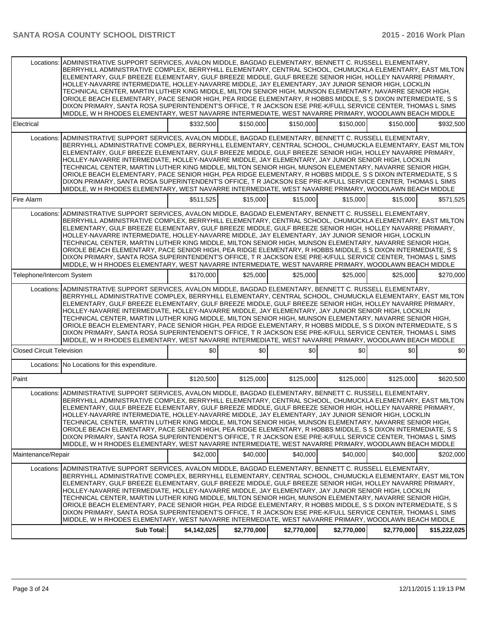| Locations:                       | ADMINISTRATIVE SUPPORT SERVICES, AVALON MIDDLE, BAGDAD ELEMENTARY, BENNETT C. RUSSELL ELEMENTARY,<br>BERRYHILL ADMINISTRATIVE COMPLEX, BERRYHILL ELEMENTARY, CENTRAL SCHOOL, CHUMUCKLA ELEMENTARY, EAST MILTON<br>ELEMENTARY, GULF BREEZE ELEMENTARY, GULF BREEZE MIDDLE, GULF BREEZE SENIOR HIGH, HOLLEY NAVARRE PRIMARY,<br>HOLLEY-NAVARRE INTERMEDIATE, HOLLEY-NAVARRE MIDDLE, JAY ELEMENTARY, JAY JUNIOR SENIOR HIGH, LOCKLIN<br>TECHNICAL CENTER, MARTIN LUTHER KING MIDDLE, MILTON SENIOR HIGH, MUNSON ELEMENTARY, NAVARRE SENIOR HIGH,<br>ORIOLE BEACH ELEMENTARY, PACE SENIOR HIGH, PEA RIDGE ELEMENTARY, R HOBBS MIDDLE, S S DIXON INTERMEDIATE, S S<br>DIXON PRIMARY, SANTA ROSA SUPERINTENDENT'S OFFICE, T R JACKSON ESE PRE-K/FULL SERVICE CENTER, THOMAS L SIMS<br>MIDDLE, W H RHODES ELEMENTARY, WEST NAVARRE INTERMEDIATE, WEST NAVARRE PRIMARY, WOODLAWN BEACH MIDDLE            |             |             |             |             |             |              |
|----------------------------------|--------------------------------------------------------------------------------------------------------------------------------------------------------------------------------------------------------------------------------------------------------------------------------------------------------------------------------------------------------------------------------------------------------------------------------------------------------------------------------------------------------------------------------------------------------------------------------------------------------------------------------------------------------------------------------------------------------------------------------------------------------------------------------------------------------------------------------------------------------------------------------------------------|-------------|-------------|-------------|-------------|-------------|--------------|
| Electrical                       |                                                                                                                                                                                                                                                                                                                                                                                                                                                                                                                                                                                                                                                                                                                                                                                                                                                                                                  | \$332,500   | \$150,000   | \$150,000   | \$150,000   | \$150,000   | \$932,500    |
| Locations:                       | ADMINISTRATIVE SUPPORT SERVICES, AVALON MIDDLE, BAGDAD ELEMENTARY, BENNETT C. RUSSELL ELEMENTARY,<br>BERRYHILL ADMINISTRATIVE COMPLEX, BERRYHILL ELEMENTARY, CENTRAL SCHOOL, CHUMUCKLA ELEMENTARY, EAST MILTON<br>ELEMENTARY, GULF BREEZE ELEMENTARY, GULF BREEZE MIDDLE, GULF BREEZE SENIOR HIGH, HOLLEY NAVARRE PRIMARY,<br>HOLLEY-NAVARRE INTERMEDIATE, HOLLEY-NAVARRE MIDDLE, JAY ELEMENTARY, JAY JUNIOR SENIOR HIGH, LOCKLIN<br>TECHNICAL CENTER. MARTIN LUTHER KING MIDDLE. MILTON SENIOR HIGH. MUNSON ELEMENTARY. NAVARRE SENIOR HIGH.<br>ORIOLE BEACH ELEMENTARY, PACE SENIOR HIGH, PEA RIDGE ELEMENTARY, R HOBBS MIDDLE, S S DIXON INTERMEDIATE, S S<br>DIXON PRIMARY, SANTA ROSA SUPERINTENDENT'S OFFICE, T R JACKSON ESE PRE-K/FULL SERVICE CENTER, THOMAS L SIMS<br>MIDDLE, W H RHODES ELEMENTARY, WEST NAVARRE INTERMEDIATE, WEST NAVARRE PRIMARY, WOODLAWN BEACH MIDDLE            |             |             |             |             |             |              |
| Fire Alarm                       |                                                                                                                                                                                                                                                                                                                                                                                                                                                                                                                                                                                                                                                                                                                                                                                                                                                                                                  | \$511.525   | \$15,000    | \$15,000    | \$15,000    | \$15,000    | \$571,525    |
| Locations:                       | ADMINISTRATIVE SUPPORT SERVICES, AVALON MIDDLE, BAGDAD ELEMENTARY, BENNETT C. RUSSELL ELEMENTARY,<br>BERRYHILL ADMINISTRATIVE COMPLEX, BERRYHILL ELEMENTARY, CENTRAL SCHOOL, CHUMUCKLA ELEMENTARY, EAST MILTON<br>ELEMENTARY, GULF BREEZE ELEMENTARY, GULF BREEZE MIDDLE, GULF BREEZE SENIOR HIGH, HOLLEY NAVARRE PRIMARY,<br>HOLLEY-NAVARRE INTERMEDIATE, HOLLEY-NAVARRE MIDDLE, JAY ELEMENTARY, JAY JUNIOR SENIOR HIGH, LOCKLIN<br>TECHNICAL CENTER, MARTIN LUTHER KING MIDDLE, MILTON SENIOR HIGH, MUNSON ELEMENTARY, NAVARRE SENIOR HIGH,<br>ORIOLE BEACH ELEMENTARY, PACE SENIOR HIGH, PEA RIDGE ELEMENTARY, R HOBBS MIDDLE, S S DIXON INTERMEDIATE, S S<br>DIXON PRIMARY, SANTA ROSA SUPERINTENDENT'S OFFICE, T R JACKSON ESE PRE-K/FULL SERVICE CENTER, THOMAS L SIMS<br>MIDDLE, W H RHODES ELEMENTARY, WEST NAVARRE INTERMEDIATE, WEST NAVARRE PRIMARY, WOODLAWN BEACH MIDDLE            |             |             |             |             |             |              |
| Telephone/Intercom System        |                                                                                                                                                                                                                                                                                                                                                                                                                                                                                                                                                                                                                                                                                                                                                                                                                                                                                                  | \$170,000   | \$25,000    | \$25,000    | \$25,000    | \$25,000    | \$270,000    |
|                                  | Locations: ADMINISTRATIVE SUPPORT SERVICES, AVALON MIDDLE, BAGDAD ELEMENTARY, BENNETT C. RUSSELL ELEMENTARY,<br>BERRYHILL ADMINISTRATIVE COMPLEX, BERRYHILL ELEMENTARY, CENTRAL SCHOOL, CHUMUCKLA ELEMENTARY, EAST MILTON<br>ELEMENTARY, GULF BREEZE ELEMENTARY, GULF BREEZE MIDDLE, GULF BREEZE SENIOR HIGH, HOLLEY NAVARRE PRIMARY,<br>HOLLEY-NAVARRE INTERMEDIATE, HOLLEY-NAVARRE MIDDLE, JAY ELEMENTARY, JAY JUNIOR SENIOR HIGH, LOCKLIN<br>TECHNICAL CENTER, MARTIN LUTHER KING MIDDLE, MILTON SENIOR HIGH, MUNSON ELEMENTARY, NAVARRE SENIOR HIGH,<br>ORIOLE BEACH ELEMENTARY, PACE SENIOR HIGH, PEA RIDGE ELEMENTARY, R HOBBS MIDDLE, S S DIXON INTERMEDIATE, S S<br>DIXON PRIMARY, SANTA ROSA SUPERINTENDENT'S OFFICE, T R JACKSON ESE PRE-K/FULL SERVICE CENTER, THOMAS L SIMS<br>MIDDLE, W H RHODES ELEMENTARY, WEST NAVARRE INTERMEDIATE, WEST NAVARRE PRIMARY, WOODLAWN BEACH MIDDLE |             |             |             |             |             |              |
| <b>Closed Circuit Television</b> |                                                                                                                                                                                                                                                                                                                                                                                                                                                                                                                                                                                                                                                                                                                                                                                                                                                                                                  | \$0         | \$0         | \$0         | \$0         | \$0         | \$0          |
|                                  | Locations: No Locations for this expenditure.                                                                                                                                                                                                                                                                                                                                                                                                                                                                                                                                                                                                                                                                                                                                                                                                                                                    |             |             |             |             |             |              |
| Paint                            |                                                                                                                                                                                                                                                                                                                                                                                                                                                                                                                                                                                                                                                                                                                                                                                                                                                                                                  | \$120,500   | \$125,000   | \$125,000   | \$125,000   | \$125,000   | \$620,500    |
|                                  | Locations: ADMINISTRATIVE SUPPORT SERVICES, AVALON MIDDLE, BAGDAD ELEMENTARY, BENNETT C. RUSSELL ELEMENTARY,<br>BERRYHILL ADMINISTRATIVE COMPLEX, BERRYHILL ELEMENTARY, CENTRAL SCHOOL, CHUMUCKLA ELEMENTARY, EAST MILTON<br>ELEMENTARY, GULF BREEZE ELEMENTARY, GULF BREEZE MIDDLE, GULF BREEZE SENIOR HIGH, HOLLEY NAVARRE PRIMARY,<br>HOLLEY-NAVARRE INTERMEDIATE, HOLLEY-NAVARRE MIDDLE, JAY ELEMENTARY, JAY JUNIOR SENIOR HIGH, LOCKLIN<br>TECHNICAL CENTER, MARTIN LUTHER KING MIDDLE, MILTON SENIOR HIGH, MUNSON ELEMENTARY, NAVARRE SENIOR HIGH,<br>ORIOLE BEACH ELEMENTARY, PACE SENIOR HIGH, PEA RIDGE ELEMENTARY, R HOBBS MIDDLE, S S DIXON INTERMEDIATE, S S<br>DIXON PRIMARY, SANTA ROSA SUPERINTENDENT'S OFFICE, T R JACKSON ESE PRE-K/FULL SERVICE CENTER, THOMAS L SIMS<br>MIDDLE, W H RHODES ELEMENTARY, WEST NAVARRE INTERMEDIATE, WEST NAVARRE PRIMARY, WOODLAWN BEACH MIDDLE |             |             |             |             |             |              |
| Maintenance/Repair               |                                                                                                                                                                                                                                                                                                                                                                                                                                                                                                                                                                                                                                                                                                                                                                                                                                                                                                  | \$42,000    | \$40,000    | \$40,000    | \$40,000    | \$40,000    | \$202,000    |
| Locations:                       | ADMINISTRATIVE SUPPORT SERVICES, AVALON MIDDLE, BAGDAD ELEMENTARY, BENNETT C. RUSSELL ELEMENTARY,<br>BERRYHILL ADMINISTRATIVE COMPLEX, BERRYHILL ELEMENTARY, CENTRAL SCHOOL, CHUMUCKLA ELEMENTARY, EAST MILTON<br>ELEMENTARY, GULF BREEZE ELEMENTARY, GULF BREEZE MIDDLE, GULF BREEZE SENIOR HIGH, HOLLEY NAVARRE PRIMARY,<br>HOLLEY-NAVARRE INTERMEDIATE, HOLLEY-NAVARRE MIDDLE, JAY ELEMENTARY, JAY JUNIOR SENIOR HIGH, LOCKLIN<br>TECHNICAL CENTER, MARTIN LUTHER KING MIDDLE, MILTON SENIOR HIGH, MUNSON ELEMENTARY, NAVARRE SENIOR HIGH,<br>ORIOLE BEACH ELEMENTARY, PACE SENIOR HIGH, PEA RIDGE ELEMENTARY, R HOBBS MIDDLE, S S DIXON INTERMEDIATE, S S<br>DIXON PRIMARY, SANTA ROSA SUPERINTENDENT'S OFFICE, T R JACKSON ESE PRE-K/FULL SERVICE CENTER, THOMAS L SIMS<br>MIDDLE, W H RHODES ELEMENTARY, WEST NAVARRE INTERMEDIATE, WEST NAVARRE PRIMARY, WOODLAWN BEACH MIDDLE            |             |             |             |             |             |              |
|                                  | Sub Total:                                                                                                                                                                                                                                                                                                                                                                                                                                                                                                                                                                                                                                                                                                                                                                                                                                                                                       | \$4,142,025 | \$2,770,000 | \$2,770,000 | \$2,770,000 | \$2,770,000 | \$15,222,025 |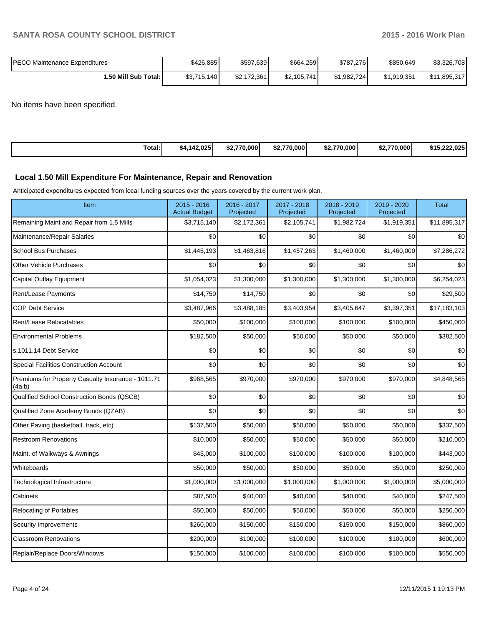| <b>PECO Maintenance Expenditures</b> | \$426,885   | \$597,639   | \$664,259   | \$787,276   | \$850,649   | \$3,326,708       |
|--------------------------------------|-------------|-------------|-------------|-------------|-------------|-------------------|
| 1.50 Mill Sub Total:                 | \$3,715,140 | \$2,172,361 | \$2,105,741 | \$1.982.724 | \$1,919,351 | 1,895,317<br>\$11 |

No items have been specified.

| Total:<br>.142.025<br>\$4.1 | \$2,770,000 | \$2.770.000 | \$2.770.000<br>52.I | \$2.770.000 | \$15,222,025 |
|-----------------------------|-------------|-------------|---------------------|-------------|--------------|
|-----------------------------|-------------|-------------|---------------------|-------------|--------------|

### **Local 1.50 Mill Expenditure For Maintenance, Repair and Renovation**

Anticipated expenditures expected from local funding sources over the years covered by the current work plan.

| Item                                                         | $2015 - 2016$<br><b>Actual Budget</b> | 2016 - 2017<br>Projected | 2017 - 2018<br>Projected | 2018 - 2019<br>Projected | 2019 - 2020<br>Projected | <b>Total</b> |
|--------------------------------------------------------------|---------------------------------------|--------------------------|--------------------------|--------------------------|--------------------------|--------------|
| Remaining Maint and Repair from 1.5 Mills                    | \$3,715,140                           | \$2,172,361              | \$2,105,741              | \$1,982,724              | \$1,919,351              | \$11,895,317 |
| Maintenance/Repair Salaries                                  | \$0                                   | \$0                      | \$0                      | \$0                      | \$0                      | \$0          |
| <b>School Bus Purchases</b>                                  | \$1,445,193                           | \$1,463,816              | \$1,457,263              | \$1,460,000              | \$1,460,000              | \$7,286,272  |
| Other Vehicle Purchases                                      | \$0                                   | \$0                      | \$0                      | \$0                      | \$0                      | \$0          |
| Capital Outlay Equipment                                     | \$1,054,023                           | \$1,300,000              | \$1,300,000              | \$1,300,000              | \$1,300,000              | \$6,254,023  |
| Rent/Lease Payments                                          | \$14,750                              | \$14,750                 | \$0                      | \$0                      | \$0                      | \$29,500     |
| <b>COP Debt Service</b>                                      | \$3,487,966                           | \$3,488,185              | \$3,403,954              | \$3,405,647              | \$3,397,351              | \$17,183,103 |
| Rent/Lease Relocatables                                      | \$50,000                              | \$100,000                | \$100,000                | \$100,000                | \$100,000                | \$450,000    |
| <b>Environmental Problems</b>                                | \$182,500                             | \$50,000                 | \$50,000                 | \$50,000                 | \$50,000                 | \$382,500    |
| s.1011.14 Debt Service                                       | \$0                                   | \$0                      | \$0                      | \$0                      | \$0                      | \$0          |
| Special Facilities Construction Account                      | \$0                                   | \$0                      | \$0                      | \$0                      | \$0                      | \$0          |
| Premiums for Property Casualty Insurance - 1011.71<br>(4a,b) | \$968,565                             | \$970,000                | \$970,000                | \$970,000                | \$970,000                | \$4,848,565  |
| Qualified School Construction Bonds (QSCB)                   | \$0                                   | \$0                      | \$0                      | \$0                      | \$0                      | \$0          |
| Qualified Zone Academy Bonds (QZAB)                          | \$0                                   | \$0                      | \$0                      | \$0                      | \$0                      | \$0          |
| Other Paving (basketball, track, etc)                        | \$137,500                             | \$50,000                 | \$50,000                 | \$50,000                 | \$50,000                 | \$337,500    |
| <b>Restroom Renovations</b>                                  | \$10,000                              | \$50,000                 | \$50,000                 | \$50,000                 | \$50,000                 | \$210,000    |
| Maint. of Walkways & Awnings                                 | \$43,000                              | \$100,000                | \$100,000                | \$100,000                | \$100,000                | \$443,000    |
| Whiteboards                                                  | \$50,000                              | \$50,000                 | \$50,000                 | \$50,000                 | \$50,000                 | \$250,000    |
| Technological Infrastructure                                 | \$1,000,000                           | \$1,000,000              | \$1,000,000              | \$1,000,000              | \$1,000,000              | \$5,000,000  |
| Cabinets                                                     | \$87,500                              | \$40,000                 | \$40,000                 | \$40,000                 | \$40,000                 | \$247,500    |
| <b>Relocating of Portables</b>                               | \$50,000                              | \$50,000                 | \$50,000                 | \$50,000                 | \$50,000                 | \$250,000    |
| Security Improvements                                        | \$260,000                             | \$150,000                | \$150,000                | \$150,000                | \$150,000                | \$860,000    |
| <b>Classroom Renovations</b>                                 | \$200,000                             | \$100,000                | \$100,000                | \$100,000                | \$100,000                | \$600,000    |
| Replair/Replace Doors/Windows                                | \$150,000                             | \$100,000                | \$100,000                | \$100,000                | \$100,000                | \$550,000    |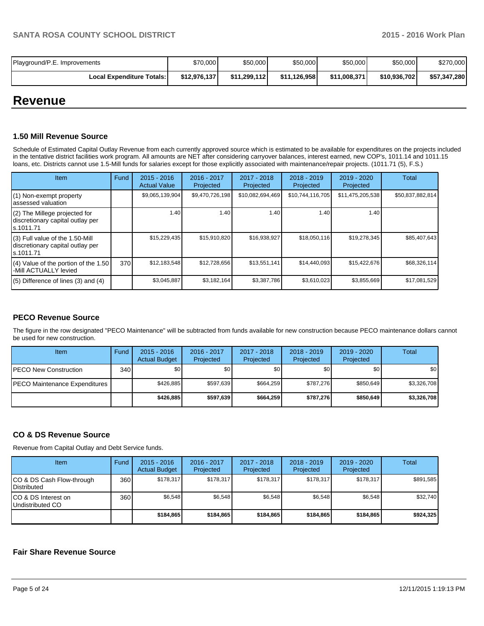| Playground/P.E. Improvements     | \$70,000     | \$50,000     | \$50,000     | \$50,000     | \$50,000     | \$270,000    |
|----------------------------------|--------------|--------------|--------------|--------------|--------------|--------------|
| <b>Local Expenditure Totals:</b> | \$12,976,137 | \$11,299,112 | \$11.126.958 | \$11.008.371 | \$10,936,702 | \$57,347,280 |

# **Revenue**

### **1.50 Mill Revenue Source**

Schedule of Estimated Capital Outlay Revenue from each currently approved source which is estimated to be available for expenditures on the projects included in the tentative district facilities work program. All amounts are NET after considering carryover balances, interest earned, new COP's, 1011.14 and 1011.15 loans, etc. Districts cannot use 1.5-Mill funds for salaries except for those explicitly associated with maintenance/repair projects. (1011.71 (5), F.S.)

| Item                                                                             | Fund | $2015 - 2016$<br><b>Actual Value</b> | $2016 - 2017$<br>Projected | 2017 - 2018<br>Projected | $2018 - 2019$<br>Projected | $2019 - 2020$<br>Projected | Total            |
|----------------------------------------------------------------------------------|------|--------------------------------------|----------------------------|--------------------------|----------------------------|----------------------------|------------------|
| (1) Non-exempt property<br>assessed valuation                                    |      | \$9,065,139,904                      | \$9,470,726,198            | \$10,082,694,469         | \$10,744,116,705           | \$11,475,205,538           | \$50,837,882,814 |
| (2) The Millege projected for<br>discretionary capital outlay per<br>ls.1011.71  |      | 1.40                                 | 1.40 l                     | 1.40                     | 1.40                       | 1.40                       |                  |
| (3) Full value of the 1.50-Mill<br>discretionary capital outlay per<br>s.1011.71 |      | \$15,229,435                         | \$15,910,820               | \$16,938,927             | \$18,050,116               | \$19,278,345               | \$85,407,643     |
| $(4)$ Value of the portion of the 1.50<br>-Mill ACTUALLY levied                  | 370  | \$12,183,548                         | \$12,728,656               | \$13,551,141             | \$14,440,093               | \$15,422,676               | \$68,326,114     |
| $(5)$ Difference of lines (3) and (4)                                            |      | \$3,045,887                          | \$3,182,164                | \$3,387,786              | \$3,610,023                | \$3,855,669                | \$17,081,529     |

## **PECO Revenue Source**

The figure in the row designated "PECO Maintenance" will be subtracted from funds available for new construction because PECO maintenance dollars cannot be used for new construction.

| <b>Item</b>                           | Fund | $2015 - 2016$<br><b>Actual Budget</b> | 2016 - 2017<br>Projected | 2017 - 2018<br>Projected | $2018 - 2019$<br>Projected | $2019 - 2020$<br>Projected | Total       |
|---------------------------------------|------|---------------------------------------|--------------------------|--------------------------|----------------------------|----------------------------|-------------|
| IPECO New Construction                | 340  | \$O I                                 | \$0                      | \$0                      | \$0 I                      | \$0                        | \$0         |
| <b>IPECO Maintenance Expenditures</b> |      | \$426.885                             | \$597.639                | \$664.259                | \$787.276                  | \$850.649                  | \$3,326,708 |
|                                       |      | \$426.885                             | \$597.639                | \$664.259                | \$787.276                  | \$850.649                  | \$3,326,708 |

## **CO & DS Revenue Source**

Revenue from Capital Outlay and Debt Service funds.

| <b>Item</b>                                        | Fund | $2015 - 2016$<br><b>Actual Budget</b> | $2016 - 2017$<br>Projected | $2017 - 2018$<br>Projected | $2018 - 2019$<br>Projected | $2019 - 2020$<br>Projected | Total     |
|----------------------------------------------------|------|---------------------------------------|----------------------------|----------------------------|----------------------------|----------------------------|-----------|
| ICO & DS Cash Flow-through<br><b>I</b> Distributed | 360  | \$178.317                             | \$178.317                  | \$178.317                  | \$178.317                  | \$178,317                  | \$891.585 |
| ICO & DS Interest on<br>Undistributed CO           | 360  | \$6,548                               | \$6,548                    | \$6,548                    | \$6.548                    | \$6,548                    | \$32,740  |
|                                                    |      | \$184.865                             | \$184.865                  | \$184.865                  | \$184.865                  | \$184.865                  | \$924,325 |

### **Fair Share Revenue Source**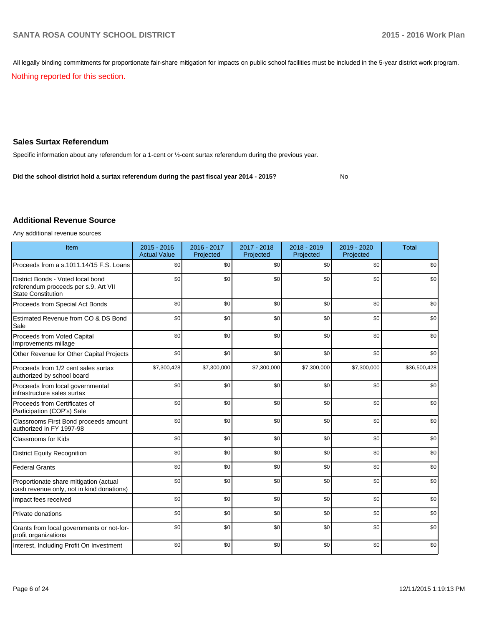All legally binding commitments for proportionate fair-share mitigation for impacts on public school facilities must be included in the 5-year district work program.

Nothing reported for this section.

# **Sales Surtax Referendum**

Specific information about any referendum for a 1-cent or ½-cent surtax referendum during the previous year.

No **Did the school district hold a surtax referendum during the past fiscal year 2014 - 2015?**

### **Additional Revenue Source**

Any additional revenue sources

| Item                                                                                                   | $2015 - 2016$<br><b>Actual Value</b> | 2016 - 2017<br>Projected | 2017 - 2018<br>Projected | 2018 - 2019<br>Projected | 2019 - 2020<br>Projected | <b>Total</b> |
|--------------------------------------------------------------------------------------------------------|--------------------------------------|--------------------------|--------------------------|--------------------------|--------------------------|--------------|
| Proceeds from a s.1011.14/15 F.S. Loans                                                                | \$0                                  | \$0                      | \$0                      | \$0                      | \$0                      | \$0          |
| District Bonds - Voted local bond<br>referendum proceeds per s.9, Art VII<br><b>State Constitution</b> | \$0                                  | \$0                      | \$0                      | \$0                      | \$0                      | \$0          |
| Proceeds from Special Act Bonds                                                                        | \$0                                  | \$0                      | \$0                      | \$0                      | \$0                      | \$0          |
| Estimated Revenue from CO & DS Bond<br>Sale                                                            | \$0                                  | \$0                      | \$0                      | \$0                      | \$0                      | \$0          |
| Proceeds from Voted Capital<br>Improvements millage                                                    | \$0                                  | \$0                      | \$0                      | \$0                      | \$0                      | \$0          |
| Other Revenue for Other Capital Projects                                                               | \$0                                  | \$0                      | \$0                      | \$0                      | \$0                      | \$0          |
| Proceeds from 1/2 cent sales surtax<br>authorized by school board                                      | \$7,300,428                          | \$7,300,000              | \$7,300,000              | \$7,300,000              | \$7,300,000              | \$36,500,428 |
| Proceeds from local governmental<br>infrastructure sales surtax                                        | \$0                                  | \$0                      | \$0                      | \$0                      | \$0                      | \$0          |
| Proceeds from Certificates of<br>Participation (COP's) Sale                                            | \$0                                  | \$0                      | \$0                      | \$0                      | \$0                      | \$0          |
| Classrooms First Bond proceeds amount<br>authorized in FY 1997-98                                      | \$0                                  | \$0                      | \$0                      | \$0                      | \$0                      | \$0          |
| Classrooms for Kids                                                                                    | \$0                                  | \$0                      | \$0                      | \$0                      | \$0                      | \$0          |
| <b>District Equity Recognition</b>                                                                     | \$0                                  | \$0                      | \$0                      | \$0                      | \$0                      | \$0          |
| <b>Federal Grants</b>                                                                                  | \$0                                  | \$0                      | \$0                      | \$0                      | \$0                      | \$0          |
| Proportionate share mitigation (actual<br>cash revenue only, not in kind donations)                    | \$0                                  | \$0                      | \$0                      | \$0                      | \$0                      | \$0          |
| Impact fees received                                                                                   | \$0                                  | \$0                      | \$0                      | \$0                      | \$0                      | \$0          |
| Private donations                                                                                      | \$0                                  | \$0                      | \$0                      | \$0                      | \$0                      | \$0          |
| Grants from local governments or not-for-<br>profit organizations                                      | \$0                                  | \$0                      | \$0                      | \$0                      | \$0                      | \$0          |
| Interest, Including Profit On Investment                                                               | \$0                                  | \$0                      | \$0                      | \$0                      | \$0                      | \$0          |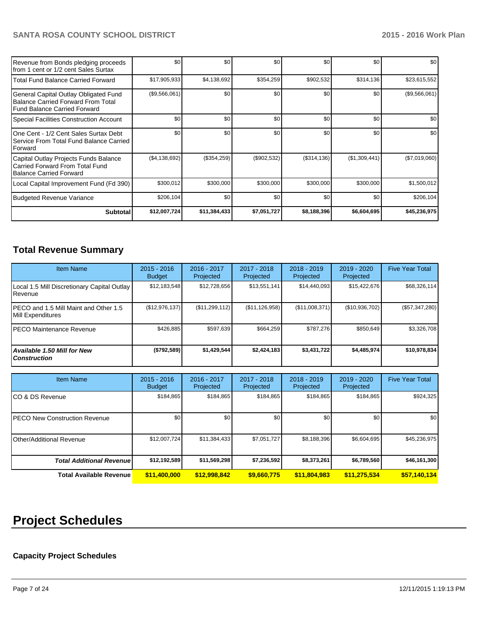| Revenue from Bonds pledging proceeds<br>Ifrom 1 cent or 1/2 cent Sales Surtax                                        | \$0           | \$0          | \$0         | \$0          | \$0           | \$0           |
|----------------------------------------------------------------------------------------------------------------------|---------------|--------------|-------------|--------------|---------------|---------------|
| l Total Fund Balance Carried Forward                                                                                 | \$17,905,933  | \$4,138,692  | \$354,259   | \$902,532    | \$314,136     | \$23,615,552  |
| General Capital Outlay Obligated Fund<br><b>Balance Carried Forward From Total</b><br>l Fund Balance Carried Forward | (\$9,566,061) | \$0          | \$0         | \$0          | \$0           | (\$9,566,061) |
| Special Facilities Construction Account                                                                              | \$0           | \$0          | \$0         | \$0          | \$0           | \$0           |
| One Cent - 1/2 Cent Sales Surtax Debt<br>l Service From Total Fund Balance Carried<br><b>IForward</b>                | \$0           | \$0          | \$0         | \$0          | \$0           | \$0           |
| Capital Outlay Projects Funds Balance<br>l Carried Forward From Total Fund<br>Balance Carried Forward                | (\$4,138,692) | (\$354,259)  | (\$902,532) | (\$314, 136) | (\$1,309,441) | (\$7,019,060) |
| Local Capital Improvement Fund (Fd 390)                                                                              | \$300,012     | \$300,000    | \$300,000   | \$300,000    | \$300,000     | \$1,500,012   |
| Budgeted Revenue Variance                                                                                            | \$206,104     | \$0          | \$0         | \$0          | \$0           | \$206,104     |
| Subtotal                                                                                                             | \$12,007,724  | \$11,384,433 | \$7,051,727 | \$8,188,396  | \$6,604,695   | \$45,236,975  |

# **Total Revenue Summary**

| <b>Item Name</b>                                            | $2015 - 2016$<br><b>Budget</b> | 2016 - 2017<br>Projected | 2017 - 2018<br>Projected | $2018 - 2019$<br>Projected | 2019 - 2020<br>Projected | <b>Five Year Total</b> |
|-------------------------------------------------------------|--------------------------------|--------------------------|--------------------------|----------------------------|--------------------------|------------------------|
| Local 1.5 Mill Discretionary Capital Outlay<br>l Revenue    | \$12,183,548                   | \$12,728,656             | \$13,551,141             | \$14.440.093               | \$15,422,676             | \$68,326,114           |
| IPECO and 1.5 Mill Maint and Other 1.5<br>Mill Expenditures | (\$12,976,137)                 | (\$11,299,112)           | (\$11, 126, 958)         | (\$11,008,371)             | (\$10,936,702)           | $(\$57,347,280)$       |
| <b>IPECO Maintenance Revenue</b>                            | \$426.885                      | \$597,639                | \$664.259                | \$787.276                  | \$850.649                | \$3,326,708            |
| Available 1.50 Mill for New<br><b>Construction</b>          | (S792,589)                     | \$1,429,544              | \$2,424,183              | \$3,431,722                | \$4,485,974              | \$10,978,834           |

| <b>Item Name</b>                      | $2015 - 2016$<br><b>Budget</b> | 2016 - 2017<br>Projected | 2017 - 2018<br>Projected | 2018 - 2019<br>Projected | 2019 - 2020<br>Projected | <b>Five Year Total</b> |
|---------------------------------------|--------------------------------|--------------------------|--------------------------|--------------------------|--------------------------|------------------------|
| ICO & DS Revenue                      | \$184,865                      | \$184,865                | \$184,865                | \$184,865                | \$184,865                | \$924,325              |
| <b>IPECO New Construction Revenue</b> | \$0                            | \$0                      | \$0                      | \$0                      | \$0                      | \$0 <sub>1</sub>       |
| IOther/Additional Revenue             | \$12,007,724                   | \$11,384,433             | \$7,051,727              | \$8,188,396              | \$6,604,695              | \$45,236,975           |
| <b>Total Additional Revenuel</b>      | \$12,192,589                   | \$11,569,298             | \$7,236,592              | \$8,373,261              | \$6,789,560              | \$46,161,300           |
| <b>Total Available Revenue</b>        | \$11,400,000                   | \$12,998,842             | \$9,660,775              | \$11,804,983             | \$11,275,534             | \$57,140,134           |

# **Project Schedules**

# **Capacity Project Schedules**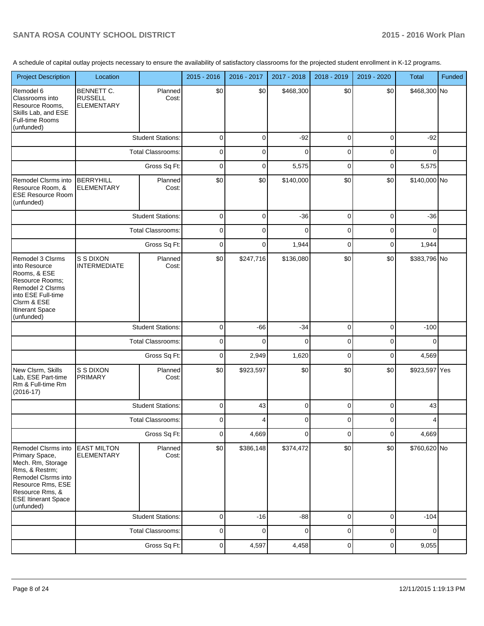A schedule of capital outlay projects necessary to ensure the availability of satisfactory classrooms for the projected student enrollment in K-12 programs.

| <b>Project Description</b>                                                                                                                                                              | Location                                                 |                          | 2015 - 2016    | 2016 - 2017 | 2017 - 2018 | 2018 - 2019 | 2019 - 2020    | <b>Total</b>  | <b>Funded</b> |
|-----------------------------------------------------------------------------------------------------------------------------------------------------------------------------------------|----------------------------------------------------------|--------------------------|----------------|-------------|-------------|-------------|----------------|---------------|---------------|
| Remodel 6<br>Classrooms into<br>Resource Rooms,<br>Skills Lab, and ESE<br>Full-time Rooms<br>(unfunded)                                                                                 | <b>BENNETT C.</b><br><b>RUSSELL</b><br><b>ELEMENTARY</b> | Planned<br>Cost:         | \$0            | \$0         | \$468,300   | \$0         | \$0            | \$468,300 No  |               |
|                                                                                                                                                                                         |                                                          | <b>Student Stations:</b> | 0              | $\mathbf 0$ | $-92$       | 0           | 0              | $-92$         |               |
|                                                                                                                                                                                         |                                                          | <b>Total Classrooms:</b> | 0              | 0           | 0           | 0           | 0              | $\Omega$      |               |
|                                                                                                                                                                                         |                                                          | Gross Sq Ft:             | 0              | 0           | 5,575       | 0           | 0              | 5,575         |               |
| Remodel Clsrms into<br>Resource Room, &<br><b>ESE Resource Room</b><br>(unfunded)                                                                                                       | <b>BERRYHILL</b><br><b>ELEMENTARY</b>                    | Planned<br>Cost:         | \$0            | \$0         | \$140,000   | \$0         | \$0            | \$140,000 No  |               |
|                                                                                                                                                                                         |                                                          | <b>Student Stations:</b> | $\mathbf 0$    | $\mathbf 0$ | $-36$       | 0           | 0              | $-36$         |               |
|                                                                                                                                                                                         |                                                          | <b>Total Classrooms:</b> | $\mathbf 0$    | $\mathbf 0$ | 0           | 0           | 0              | $\Omega$      |               |
|                                                                                                                                                                                         |                                                          | Gross Sq Ft:             | 0              | $\mathbf 0$ | 1,944       | 0           | 0              | 1,944         |               |
| Remodel 3 Clsrms<br>into Resource<br>Rooms, & ESE<br>Resource Rooms;<br>Remodel 2 Clsrms<br>into ESE Full-time<br>Clsrm & ESE<br>Itinerant Space<br>(unfunded)                          | S S DIXON<br><b>INTERMEDIATE</b>                         | Planned<br>Cost:         | \$0            | \$247,716   | \$136,080   | \$0         | \$0            | \$383,796 No  |               |
|                                                                                                                                                                                         |                                                          | <b>Student Stations:</b> | $\mathbf 0$    | $-66$       | $-34$       | 0           | 0              | $-100$        |               |
|                                                                                                                                                                                         |                                                          | <b>Total Classrooms:</b> | 0              | 0           | 0           | 0           | 0              | $\Omega$      |               |
|                                                                                                                                                                                         |                                                          | Gross Sq Ft:             | 0              | 2,949       | 1,620       | 0           | 0              | 4,569         |               |
| New Clsrm, Skills<br>Lab, ESE Part-time<br>Rm & Full-time Rm<br>$(2016-17)$                                                                                                             | S S DIXON<br><b>PRIMARY</b>                              | Planned<br>Cost:         | \$0            | \$923,597   | \$0         | \$0         | \$0            | \$923,597 Yes |               |
|                                                                                                                                                                                         |                                                          | <b>Student Stations:</b> | 0              | 43          | 0           | 0           | 0              | 43            |               |
|                                                                                                                                                                                         |                                                          | <b>Total Classrooms:</b> |                |             |             |             |                |               |               |
|                                                                                                                                                                                         |                                                          | Gross Sq Ft:             | $\overline{0}$ | 4,669       | 0           | 0           | 0              | 4,669         |               |
| Remodel Clsrms into<br>Primary Space,<br>Mech. Rm, Storage<br>Rms, & Restrm;<br>Remodel Clsrms into<br>Resource Rms, ESE<br>Resource Rms, &<br><b>ESE Itinerant Space</b><br>(unfunded) | <b>EAST MILTON</b><br><b>ELEMENTARY</b>                  | Planned<br>Cost:         | \$0            | \$386,148   | \$374,472   | \$0         | \$0            | \$760,620 No  |               |
|                                                                                                                                                                                         |                                                          | <b>Student Stations:</b> | $\mathbf 0$    | $-16$       | $-88$       | 0           | 0              | $-104$        |               |
|                                                                                                                                                                                         |                                                          | Total Classrooms:        | $\pmb{0}$      | $\mathbf 0$ | 0           | 0           | 0              | $\Omega$      |               |
|                                                                                                                                                                                         |                                                          | Gross Sq Ft:             | $\overline{0}$ | 4,597       | 4,458       | 0           | $\overline{0}$ | 9,055         |               |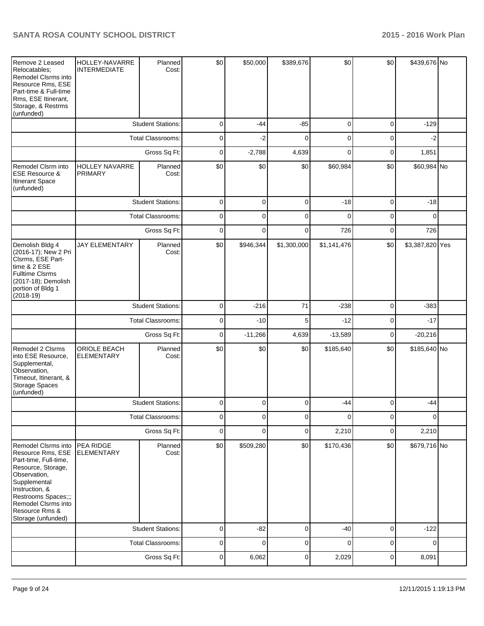| Remove 2 Leased<br>Relocatables;<br>Remodel Clsrms into<br>Resource Rms, ESE<br>Part-time & Full-time<br>Rms, ESE Itinerant,<br>Storage, & Restrms<br>(unfunded)                                                                | HOLLEY-NAVARRE<br><b>INTERMEDIATE</b>   | Planned<br>Cost:         | \$0            | \$50,000       | \$389,676    | \$0         | \$0         | \$439,676 No    |  |
|---------------------------------------------------------------------------------------------------------------------------------------------------------------------------------------------------------------------------------|-----------------------------------------|--------------------------|----------------|----------------|--------------|-------------|-------------|-----------------|--|
|                                                                                                                                                                                                                                 |                                         | <b>Student Stations:</b> | 0              | $-44$          | $-85$        | 0           | 0           | $-129$          |  |
|                                                                                                                                                                                                                                 |                                         | <b>Total Classrooms:</b> | 0              | $-2$           | $\Omega$     | 0           | $\mathbf 0$ | $-2$            |  |
|                                                                                                                                                                                                                                 |                                         | Gross Sq Ft:             | 0              | $-2,788$       | 4,639        | 0           | 0           | 1,851           |  |
| Remodel Clsrm into<br><b>ESE Resource &amp;</b><br>Itinerant Space<br>(unfunded)                                                                                                                                                | <b>HOLLEY NAVARRE</b><br><b>PRIMARY</b> | Planned<br>Cost:         | \$0            | \$0            | \$0          | \$60,984    | \$0         | \$60,984 No     |  |
|                                                                                                                                                                                                                                 |                                         | <b>Student Stations:</b> | $\overline{0}$ | 0              | 0            | $-18$       | 0           | $-18$           |  |
|                                                                                                                                                                                                                                 |                                         | Total Classrooms:        | 0              | $\Omega$       | $\mathbf{0}$ | $\Omega$    | 0           | $\Omega$        |  |
|                                                                                                                                                                                                                                 |                                         | Gross Sq Ft:             | $\overline{0}$ | $\Omega$       | $\mathbf{0}$ | 726         | 0           | 726             |  |
| Demolish Bldg 4<br>(2016-17); New 2 Pri<br>Clsrms, ESE Part-<br>time & 2 ESE<br><b>Fulltime Clsrms</b><br>(2017-18); Demolish<br>portion of Bldg 1<br>$(2018-19)$                                                               | <b>JAY ELEMENTARY</b>                   | Planned<br>Cost:         | \$0            | \$946,344      | \$1,300,000  | \$1,141,476 | \$0         | \$3,387,820 Yes |  |
|                                                                                                                                                                                                                                 |                                         | <b>Student Stations:</b> | 0              | $-216$         | 71           | $-238$      | 0           | $-383$          |  |
|                                                                                                                                                                                                                                 |                                         | <b>Total Classrooms:</b> | 0              | $-10$          | 5            | $-12$       | 0           | $-17$           |  |
|                                                                                                                                                                                                                                 |                                         | Gross Sq Ft:             | 0              | $-11,266$      | 4,639        | $-13,589$   | 0           | $-20,216$       |  |
| Remodel 2 Clsrms<br>into ESE Resource,<br>Supplemental,<br>Observation,<br>Timeout, Itinerant, &<br>Storage Spaces<br>(unfunded)                                                                                                | ORIOLE BEACH<br><b>ELEMENTARY</b>       | Planned<br>Cost:         | \$0            | \$0            | \$0          | \$185,640   | \$0         | \$185,640 No    |  |
|                                                                                                                                                                                                                                 |                                         | <b>Student Stations:</b> | 0              | $\Omega$       | $\mathbf{0}$ | $-44$       | 0           | $-44$           |  |
|                                                                                                                                                                                                                                 |                                         | <b>Total Classrooms:</b> | $\overline{0}$ | $\overline{0}$ | 0            | 0           | 0           | $\overline{0}$  |  |
|                                                                                                                                                                                                                                 |                                         | Gross Sq Ft:             | 0              | $\Omega$       | $\pmb{0}$    | 2,210       | 0           | 2,210           |  |
| Remodel Clsrms into<br>Resource Rms, ESE<br>Part-time, Full-time,<br>Resource, Storage,<br>Observation,<br>Supplemental<br>Instruction, &<br>Restrooms Spaces;;;<br>Remodel Clsrms into<br>Resource Rms &<br>Storage (unfunded) | PEA RIDGE<br><b>ELEMENTARY</b>          | Planned<br>Cost:         | \$0            | \$509,280      | \$0          | \$170,436   | \$0         | \$679,716 No    |  |
|                                                                                                                                                                                                                                 |                                         | <b>Student Stations:</b> | 0              | $-82$          | 0            | $-40$       | 0           | $-122$          |  |
|                                                                                                                                                                                                                                 |                                         | Total Classrooms:        | 0              | 0              | 0            | $\mathbf 0$ | 0           | 0               |  |
|                                                                                                                                                                                                                                 |                                         | Gross Sq Ft:             | 0              | 6,062          | 0            | 2,029       | 0           | 8,091           |  |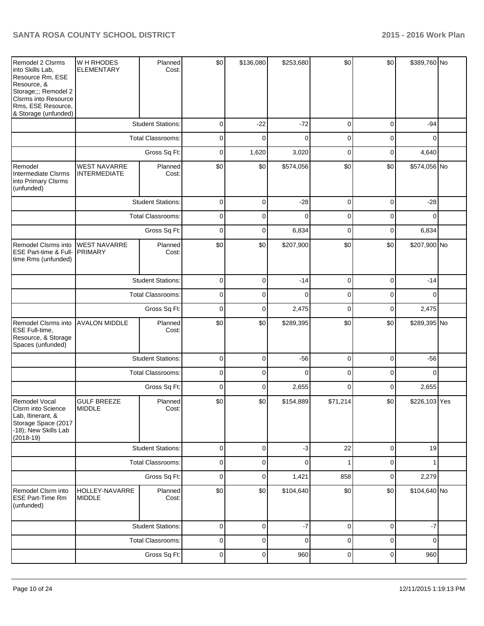| Remodel 2 Clsrms<br>into Skills Lab,<br>Resource Rm, ESE<br>Resource, &<br>Storage;;; Remodel 2<br>Clsrms into Resource<br>Rms, ESE Resource,<br>& Storage (unfunded) | W H RHODES<br><b>ELEMENTARY</b>            | Planned<br>Cost:         | \$0         | \$136,080   | \$253,680   | \$0         | \$0         | \$389,760 No  |  |
|-----------------------------------------------------------------------------------------------------------------------------------------------------------------------|--------------------------------------------|--------------------------|-------------|-------------|-------------|-------------|-------------|---------------|--|
|                                                                                                                                                                       |                                            | <b>Student Stations:</b> | $\pmb{0}$   | $-22$       | $-72$       | 0           | $\mathbf 0$ | $-94$         |  |
|                                                                                                                                                                       |                                            | <b>Total Classrooms:</b> | 0           | $\mathbf 0$ | $\mathbf 0$ | 0           | $\mathbf 0$ | 0             |  |
|                                                                                                                                                                       |                                            | Gross Sq Ft:             | $\mathbf 0$ | 1,620       | 3,020       | $\mathbf 0$ | 0           | 4,640         |  |
| Remodel<br>Intermediate Clsrms<br>into Primary Clsrms<br>(unfunded)                                                                                                   | <b>WEST NAVARRE</b><br><b>INTERMEDIATE</b> | Planned<br>Cost:         | \$0         | \$0         | \$574,056   | \$0         | \$0         | \$574,056 No  |  |
|                                                                                                                                                                       |                                            | <b>Student Stations:</b> | $\mathbf 0$ | 0           | $-28$       | 0           | 0           | $-28$         |  |
|                                                                                                                                                                       |                                            | <b>Total Classrooms:</b> | 0           | $\Omega$    | $\Omega$    | 0           | $\mathbf 0$ | $\Omega$      |  |
|                                                                                                                                                                       |                                            | Gross Sq Ft:             | $\mathbf 0$ | 0           | 6,834       | 0           | 0           | 6,834         |  |
| Remodel Clsrms into<br>ESE Part-time & Full-<br>time Rms (unfunded)                                                                                                   | <b>WEST NAVARRE</b><br><b>PRIMARY</b>      | Planned<br>Cost:         | \$0         | \$0         | \$207,900   | \$0         | \$0         | \$207,900 No  |  |
|                                                                                                                                                                       |                                            | <b>Student Stations:</b> | 0           | 0           | $-14$       | 0           | 0           | $-14$         |  |
|                                                                                                                                                                       |                                            | <b>Total Classrooms:</b> | 0           | 0           | $\mathbf 0$ | 0           | 0           | 0             |  |
|                                                                                                                                                                       |                                            | Gross Sq Ft:             | $\mathbf 0$ | 0           | 2,475       | 0           | 0           | 2,475         |  |
| <b>Remodel Clsrms into</b><br>ESE Full-time,<br>Resource, & Storage<br>Spaces (unfunded)                                                                              | <b>AVALON MIDDLE</b>                       | Planned<br>Cost:         | \$0         | \$0         | \$289,395   | \$0         | \$0         | \$289,395 No  |  |
|                                                                                                                                                                       |                                            | <b>Student Stations:</b> | $\mathbf 0$ | $\mathbf 0$ | $-56$       | 0           | 0           | $-56$         |  |
|                                                                                                                                                                       |                                            | <b>Total Classrooms:</b> | $\mathbf 0$ | 0           | 0           | 0           | 0           | $\mathbf 0$   |  |
|                                                                                                                                                                       |                                            | Gross Sq Ft:             | 0           | 0           | 2,655       | 0           | 0           | 2,655         |  |
| Remodel Vocal<br>Clsrm into Science<br>Lab, Itinerant, &<br>Storage Space (2017<br>-18); New Skills Lab<br>$(2018-19)$                                                | <b>GULF BREEZE</b><br><b>MIDDLE</b>        | Planned<br>Cost:         | \$0         | \$0         | \$154,889   | \$71,214    | \$0         | \$226,103 Yes |  |
|                                                                                                                                                                       |                                            | <b>Student Stations:</b> | 0           | 0           | $-3$        | 22          | 0           | 19            |  |
|                                                                                                                                                                       |                                            | <b>Total Classrooms:</b> | 0           | $\mathbf 0$ | $\mathbf 0$ | 1           | $\mathbf 0$ | 1             |  |
|                                                                                                                                                                       |                                            | Gross Sq Ft:             | 0           | 0           | 1,421       | 858         | $\mathbf 0$ | 2,279         |  |
| Remodel Clsrm into<br><b>ESE Part-Time Rm</b><br>(unfunded)                                                                                                           | HOLLEY-NAVARRE<br><b>MIDDLE</b>            | Planned<br>Cost:         | \$0         | \$0         | \$104,640   | \$0         | \$0         | \$104,640 No  |  |
|                                                                                                                                                                       |                                            | <b>Student Stations:</b> | 0           | 0           | $-7$        | 0           | $\mathbf 0$ | $-7$          |  |
|                                                                                                                                                                       |                                            | <b>Total Classrooms:</b> | 0           | 0           | 0           | 0           | 0           | 0             |  |
|                                                                                                                                                                       |                                            | Gross Sq Ft:             | 0           | 0           | 960         | 0           | 0           | 960           |  |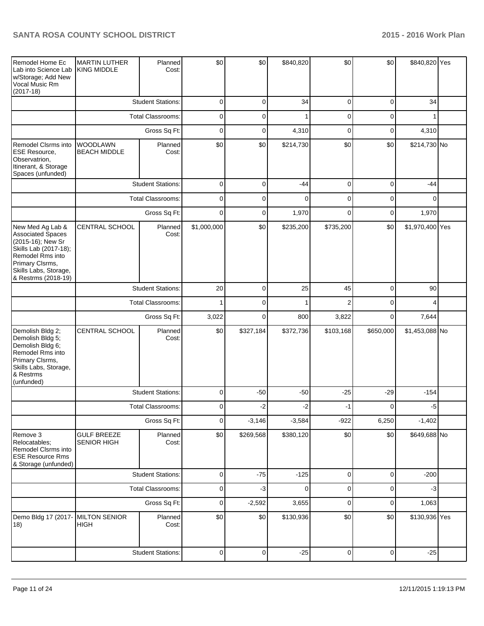| Remodel Home Ec<br>Lab into Science Lab<br>w/Storage; Add New<br>Vocal Music Rm<br>$(2017-18)$                                                                                    | <b>MARTIN LUTHER</b><br><b>KING MIDDLE</b> | Planned<br>Cost:         | \$0         | \$0       | \$840,820   | \$0            | \$0            | \$840,820 Yes   |  |
|-----------------------------------------------------------------------------------------------------------------------------------------------------------------------------------|--------------------------------------------|--------------------------|-------------|-----------|-------------|----------------|----------------|-----------------|--|
|                                                                                                                                                                                   |                                            | <b>Student Stations:</b> | 0           | 0         | 34          | 0              | 0              | 34              |  |
|                                                                                                                                                                                   |                                            | <b>Total Classrooms:</b> | 0           | 0         | 1           | 0              | 0              | 1               |  |
|                                                                                                                                                                                   | Gross Sq Ft:                               |                          | 0           | 0         | 4,310       | $\overline{0}$ | 0              | 4,310           |  |
| Remodel Clsrms into<br><b>ESE Resource,</b><br>Observatrion,<br>Itinerant, & Storage<br>Spaces (unfunded)                                                                         | <b>WOODLAWN</b><br><b>BEACH MIDDLE</b>     | Planned<br>Cost:         | \$0         | \$0       | \$214,730   | \$0            | \$0            | \$214,730 No    |  |
|                                                                                                                                                                                   |                                            | <b>Student Stations:</b> | 0           | 0         | $-44$       | $\mathbf 0$    | $\mathbf 0$    | $-44$           |  |
|                                                                                                                                                                                   |                                            | <b>Total Classrooms:</b> | 0           | 0         | $\Omega$    | 0              | 0              | 0               |  |
|                                                                                                                                                                                   |                                            | Gross Sq Ft:             | 0           | 0         | 1,970       | 0              | 0              | 1,970           |  |
| New Med Ag Lab &<br><b>Associated Spaces</b><br>(2015-16); New Sr<br>Skills Lab (2017-18);<br>Remodel Rms into<br>Primary Clsrms,<br>Skills Labs, Storage,<br>& Restrms (2018-19) | CENTRAL SCHOOL                             | Planned<br>Cost:         | \$1,000,000 | \$0       | \$235,200   | \$735,200      | \$0            | \$1,970,400 Yes |  |
|                                                                                                                                                                                   |                                            | <b>Student Stations:</b> | 20          | 0         | 25          | 45             | 0              | 90              |  |
|                                                                                                                                                                                   |                                            | <b>Total Classrooms:</b> | 1           | 0         | 1           | $\overline{2}$ | 0              | 4               |  |
|                                                                                                                                                                                   |                                            | Gross Sq Ft:             | 3,022       | $\Omega$  | 800         | 3,822          | 0              | 7,644           |  |
| Demolish Bldg 2;<br>Demolish Bldg 5;<br>Demolish Bldg 6;<br>Remodel Rms into<br>Primary Clsrms,<br>Skills Labs, Storage,<br>& Restrms<br>(unfunded)                               | CENTRAL SCHOOL                             | Planned<br>Cost:         | \$0         | \$327,184 | \$372,736   | \$103,168      | \$650,000      | \$1,453,088 No  |  |
|                                                                                                                                                                                   |                                            | <b>Student Stations:</b> | 0           | $-50$     | $-50$       | $-25$          | $-29$          | $-154$          |  |
|                                                                                                                                                                                   |                                            | <b>Total Classrooms:</b> | 0           | -2        | $-2$        | $-1$           | 0              | $-5$            |  |
|                                                                                                                                                                                   |                                            | Gross Sq Ft:             | $\mathbf 0$ | $-3,146$  | $-3,584$    | $-922$         | 6,250          | $-1,402$        |  |
| Remove 3<br>Relocatables;<br>Remodel Clsrms into<br><b>ESE Resource Rms</b><br>& Storage (unfunded)                                                                               | <b>GULF BREEZE</b><br><b>SENIOR HIGH</b>   | Planned<br>Cost:         | \$0         | \$269,568 | \$380,120   | \$0            | \$0            | \$649,688 No    |  |
|                                                                                                                                                                                   |                                            | <b>Student Stations:</b> | 0           | $-75$     | $-125$      | $\mathbf 0$    | $\overline{0}$ | $-200$          |  |
|                                                                                                                                                                                   |                                            | <b>Total Classrooms:</b> | 0           | $-3$      | $\mathbf 0$ | 0              | $\overline{0}$ | $-3$            |  |
|                                                                                                                                                                                   |                                            | Gross Sq Ft:             | 0           | $-2,592$  | 3,655       | 0              | $\overline{0}$ | 1,063           |  |
| Demo Bldg 17 (2017-<br>18)                                                                                                                                                        | <b>MILTON SENIOR</b><br><b>HIGH</b>        | Planned<br>Cost:         | \$0         | \$0       | \$130,936   | \$0            | \$0            | \$130,936 Yes   |  |
|                                                                                                                                                                                   |                                            | <b>Student Stations:</b> | 0           | 0         | $-25$       | 0              | 0              | $-25$           |  |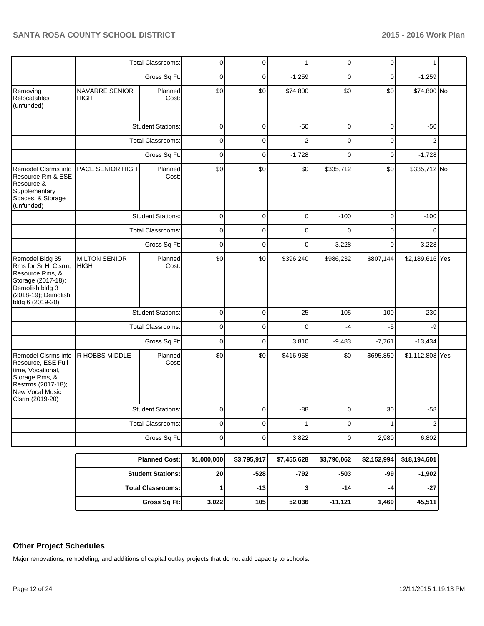|                                                                                                                                                |                                      | <b>Total Classrooms:</b> | 0              | 0              | -1          | 0              | 0           | $-1$            |  |
|------------------------------------------------------------------------------------------------------------------------------------------------|--------------------------------------|--------------------------|----------------|----------------|-------------|----------------|-------------|-----------------|--|
|                                                                                                                                                |                                      | Gross Sq Ft:             | $\mathbf 0$    | 0              | $-1,259$    | $\mathbf 0$    | $\mathbf 0$ | $-1,259$        |  |
| Removing<br>Relocatables<br>(unfunded)                                                                                                         | <b>NAVARRE SENIOR</b><br><b>HIGH</b> | Planned<br>Cost:         | \$0            | \$0            | \$74,800    | \$0            | \$0         | \$74,800 No     |  |
|                                                                                                                                                |                                      | <b>Student Stations:</b> | $\pmb{0}$      | $\pmb{0}$      | $-50$       | $\mathbf 0$    | $\pmb{0}$   | $-50$           |  |
|                                                                                                                                                |                                      | <b>Total Classrooms:</b> | 0              | 0              | $-2$        | $\mathbf 0$    | $\mathbf 0$ | $-2$            |  |
|                                                                                                                                                |                                      | Gross Sq Ft:             | $\mathbf 0$    | 0              | $-1,728$    | $\Omega$       | $\mathbf 0$ | $-1,728$        |  |
| Remodel Clsrms into<br>Resource Rm & ESE<br>Resource &<br>Supplementary<br>Spaces, & Storage<br>(unfunded)                                     | PACE SENIOR HIGH                     | Planned<br>Cost:         | \$0            | \$0            | \$0         | \$335,712      | \$0         | \$335,712 No    |  |
|                                                                                                                                                |                                      | <b>Student Stations:</b> | $\Omega$       | $\Omega$       | $\Omega$    | $-100$         | $\Omega$    | $-100$          |  |
|                                                                                                                                                |                                      | <b>Total Classrooms:</b> | $\mathbf 0$    | $\mathsf 0$    | $\mathbf 0$ | $\overline{0}$ | $\mathbf 0$ | $\mathbf 0$     |  |
|                                                                                                                                                |                                      | Gross Sq Ft:             | $\mathbf 0$    | 0              | $\mathbf 0$ | 3,228          | $\mathbf 0$ | 3,228           |  |
| Remodel Bldg 35<br>Rms for Sr Hi Clsrm,<br>Resource Rms, &<br>Storage (2017-18);<br>Demolish bldg 3<br>(2018-19); Demolish<br>bldg 6 (2019-20) | <b>MILTON SENIOR</b><br><b>HIGH</b>  | Planned<br>Cost:         | \$0            | \$0            | \$396,240   | \$986,232      | \$807,144   | \$2,189,616 Yes |  |
|                                                                                                                                                |                                      | <b>Student Stations:</b> | $\mathbf 0$    | $\overline{0}$ | $-25$       | $-105$         | $-100$      | $-230$          |  |
|                                                                                                                                                |                                      | Total Classrooms:        | $\mathbf 0$    | 0              | $\mathbf 0$ | $-4$           | $-5$        | -9              |  |
|                                                                                                                                                |                                      | Gross Sq Ft:             | $\overline{0}$ | $\overline{0}$ | 3,810       | $-9,483$       | $-7,761$    | $-13,434$       |  |
| Remodel Clsrms into<br>Resource, ESE Full-<br>time, Vocational,<br>Storage Rms, &<br>Restrms (2017-18);<br>New Vocal Music<br>Clsrm (2019-20)  | R HOBBS MIDDLE                       | Planned<br>Cost:         | \$0            | \$0            | \$416,958   | \$0            | \$695,850   | \$1,112,808 Yes |  |
|                                                                                                                                                |                                      | <b>Student Stations:</b> | $\mathbf 0$    | $\mathbf 0$    | $-88$       | $\overline{0}$ | 30          | $-58$           |  |
|                                                                                                                                                |                                      | <b>Total Classrooms:</b> | $\mathbf 0$    | 0              | 1           | 0              | 1           | $\overline{2}$  |  |
|                                                                                                                                                |                                      | Gross Sq Ft:             | $\mathbf 0$    | 0              | 3,822       | 0              | 2,980       | 6,802           |  |
|                                                                                                                                                |                                      | <b>Planned Cost:</b>     | \$1,000,000    | \$3,795,917    | \$7,455,628 | \$3,790,062    | \$2,152,994 | \$18,194,601    |  |

| <b>Planned Cost:</b>       | \$1,000,000     | \$3,795,917 | \$7,455,628 | \$3,790,062 | \$2,152,994 | \$18,194,601 |
|----------------------------|-----------------|-------------|-------------|-------------|-------------|--------------|
| <b>Student Stations: I</b> | 20 <sub>l</sub> | -5281       | -7921       | $-503$      | -991        | $-1,902$     |
| <b>Total Classrooms: I</b> |                 | $-13$       |             | -141        | -4          | $-27$        |
| Gross Sq Ft:               | 3,022           | 105         | 52,036      | $-11,121$   | 1,469       | 45,511       |

## **Other Project Schedules**

Major renovations, remodeling, and additions of capital outlay projects that do not add capacity to schools.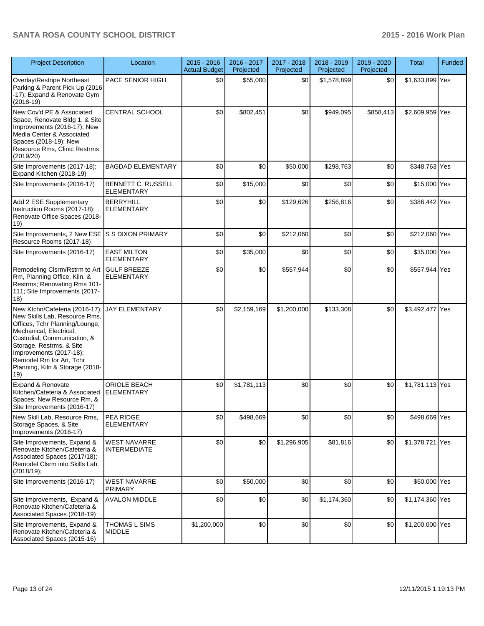| <b>Project Description</b>                                                                                                                                                                                                                                                               | Location                                   | $2015 - 2016$<br><b>Actual Budget</b> | 2016 - 2017<br>Projected | 2017 - 2018<br>Projected | 2018 - 2019<br>Projected | 2019 - 2020<br>Projected | <b>Total</b>    | Funded |
|------------------------------------------------------------------------------------------------------------------------------------------------------------------------------------------------------------------------------------------------------------------------------------------|--------------------------------------------|---------------------------------------|--------------------------|--------------------------|--------------------------|--------------------------|-----------------|--------|
| Overlay/Restripe Northeast<br>Parking & Parent Pick Up (2016<br>-17); Expand & Renovate Gym<br>$(2018-19)$                                                                                                                                                                               | PACE SENIOR HIGH                           | \$0                                   | \$55,000                 | \$0                      | \$1,578,899              | \$0                      | \$1,633,899 Yes |        |
| New Cov'd PE & Associated<br>Space, Renovate Bldg 1, & Site<br>Improvements (2016-17); New<br>Media Center & Associated<br>Spaces (2018-19); New<br>Resource Rms, Clinic Restrms<br>(2019/20)                                                                                            | CENTRAL SCHOOL                             | \$0                                   | \$802,451                | \$0                      | \$949,095                | \$858,413                | \$2,609,959 Yes |        |
| Site Improvements (2017-18);<br>Expand Kitchen (2018-19)                                                                                                                                                                                                                                 | <b>BAGDAD ELEMENTARY</b>                   | \$0                                   | \$0                      | \$50,000                 | \$298,763                | \$0                      | \$348,763 Yes   |        |
| Site Improvements (2016-17)                                                                                                                                                                                                                                                              | BENNETT C. RUSSELL<br><b>ELEMENTARY</b>    | \$0                                   | \$15,000                 | \$0                      | \$0                      | \$0                      | \$15,000 Yes    |        |
| Add 2 ESE Supplementary<br>Instruction Rooms (2017-18);<br>Renovate Office Spaces (2018-<br>19)                                                                                                                                                                                          | <b>BERRYHILL</b><br><b>ELEMENTARY</b>      | \$0                                   | \$0                      | \$129,626                | \$256,816                | \$0                      | \$386,442 Yes   |        |
| Site Improvements, 2 New ESE S S DIXON PRIMARY<br>Resource Rooms (2017-18)                                                                                                                                                                                                               |                                            | \$0                                   | \$0                      | \$212,060                | \$0                      | \$0                      | \$212,060 Yes   |        |
| Site Improvements (2016-17)                                                                                                                                                                                                                                                              | <b>EAST MILTON</b><br><b>ELEMENTARY</b>    | \$0                                   | \$35,000                 | \$0                      | \$0                      | \$0                      | \$35,000 Yes    |        |
| Remodeling Clsrm/Rstrm to Art GULF BREEZE<br>Rm, Planning Office, Kiln, &<br>Restrms; Renovating Rms 101-<br>111; Site Improvements (2017-<br>18)                                                                                                                                        | <b>ELEMENTARY</b>                          | \$0                                   | \$0                      | \$557,944                | \$0                      | \$0                      | \$557,944 Yes   |        |
| New Ktchn/Cafeteria (2016-17);<br>New Skills Lab, Resource Rms,<br>Offices, Tchr Planning/Lounge,<br>Mechanical, Electrical,<br>Custodial, Communication, &<br>Storage, Restrms, & Site<br>Improvements (2017-18);<br>Remodel Rm for Art, Tchr<br>Planning, Kiln & Storage (2018-<br>19) | <b>JAY ELEMENTARY</b>                      | \$0                                   | \$2,159,169              | \$1,200,000              | \$133,308                | \$0                      | \$3,492,477 Yes |        |
| Expand & Renovate<br>Kitchen/Cafeteria & Associated<br>Spaces; New Resource Rm, &<br>Site Improvements (2016-17)                                                                                                                                                                         | ORIOLE BEACH<br><b>ELEMENTARY</b>          | \$0                                   | \$1,781,113              | \$0                      | \$0                      | \$0                      | \$1,781,113 Yes |        |
| New Skill Lab, Resource Rms,<br>Storage Spaces, & Site<br>Improvements (2016-17)                                                                                                                                                                                                         | PEA RIDGE<br><b>ELEMENTARY</b>             | \$0                                   | \$498,669                | \$0                      | \$0                      | \$0                      | \$498,669 Yes   |        |
| Site Improvements, Expand &<br>Renovate Kitchen/Cafeteria &<br>Associated Spaces (2017/18);<br>Remodel Clsrm into Skills Lab<br>(2018/19);                                                                                                                                               | <b>WEST NAVARRE</b><br><b>INTERMEDIATE</b> | \$0                                   | \$0                      | \$1,296,905              | \$81,816                 | \$0                      | \$1,378,721 Yes |        |
| Site Improvements (2016-17)                                                                                                                                                                                                                                                              | <b>WEST NAVARRE</b><br><b>PRIMARY</b>      | \$0                                   | \$50,000                 | \$0                      | \$0                      | \$0                      | \$50,000 Yes    |        |
| Site Improvements, Expand &<br>Renovate Kitchen/Cafeteria &<br>Associated Spaces (2018-19)                                                                                                                                                                                               | <b>AVALON MIDDLE</b>                       | \$0                                   | \$0                      | \$0                      | \$1,174,360              | \$0                      | \$1,174,360 Yes |        |
| Site Improvements, Expand &<br>Renovate Kitchen/Cafeteria &<br>Associated Spaces (2015-16)                                                                                                                                                                                               | <b>THOMAS L SIMS</b><br><b>MIDDLE</b>      | \$1,200,000                           | \$0                      | \$0                      | \$0                      | \$0                      | \$1,200,000 Yes |        |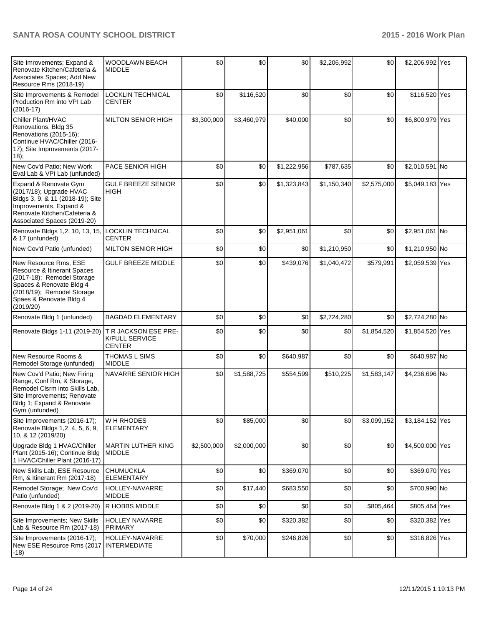| Site Imrovements; Expand &<br>Renovate Kitchen/Cafeteria &<br>Associates Spaces; Add New<br>Resource Rms (2018-19)                                                                   | <b>WOODLAWN BEACH</b><br><b>MIDDLE</b>                         | \$0         | \$0         | \$0         | \$2,206,992 | \$0         | \$2,206,992 Yes |  |
|--------------------------------------------------------------------------------------------------------------------------------------------------------------------------------------|----------------------------------------------------------------|-------------|-------------|-------------|-------------|-------------|-----------------|--|
| Site Improvements & Remodel<br>Production Rm into VPI Lab<br>$(2016-17)$                                                                                                             | LOCKLIN TECHNICAL<br><b>CENTER</b>                             | \$0         | \$116,520   | \$0         | \$0         | \$0         | \$116,520 Yes   |  |
| Chiller Plant/HVAC<br>Renovations, Bldg 35<br>Renovations (2015-16);<br>Continue HVAC/Chiller (2016-<br>17); Site Improvements (2017-<br>$(18)$ ;                                    | <b>MILTON SENIOR HIGH</b>                                      | \$3,300,000 | \$3,460,979 | \$40,000    | \$0         | \$0         | \$6,800,979 Yes |  |
| New Cov'd Patio; New Work<br>Eval Lab & VPI Lab (unfunded)                                                                                                                           | PACE SENIOR HIGH                                               | \$0         | \$0         | \$1,222,956 | \$787,635   | \$0         | \$2,010,591 No  |  |
| Expand & Renovate Gym<br>(2017/18); Upgrade HVAC<br>Bldgs 3, 9, & 11 (2018-19); Site<br>Improvements, Expand &<br>Renovate Kitchen/Cafeteria &<br>Associated Spaces (2019-20)        | <b>GULF BREEZE SENIOR</b><br><b>HIGH</b>                       | \$0         | \$0         | \$1,323,843 | \$1,150,340 | \$2,575,000 | \$5,049,183 Yes |  |
| Renovate Bldgs 1,2, 10, 13, 15,<br>& 17 (unfunded)                                                                                                                                   | <b>LOCKLIN TECHNICAL</b><br><b>CENTER</b>                      | \$0         | \$0         | \$2,951,061 | \$0         | \$0         | \$2,951,061 No  |  |
| New Cov'd Patio (unfunded)                                                                                                                                                           | <b>MILTON SENIOR HIGH</b>                                      | \$0         | \$0         | \$0         | \$1,210,950 | \$0         | \$1,210,950 No  |  |
| New Resource Rms, ESE<br>Resource & Itinerant Spaces<br>(2017-18); Remodel Storage<br>Spaces & Renovate Bldg 4<br>(2018/19); Remodel Storage<br>Spaes & Renovate Bldg 4<br>(2019/20) | <b>GULF BREEZE MIDDLE</b>                                      | \$0         | \$0         | \$439,076   | \$1,040,472 | \$579,991   | \$2,059,539 Yes |  |
| Renovate Bldg 1 (unfunded)                                                                                                                                                           | <b>BAGDAD ELEMENTARY</b>                                       | \$0         | \$0         | \$0         | \$2,724,280 | \$0         | \$2,724,280 No  |  |
| Renovate Bldgs 1-11 (2019-20)                                                                                                                                                        | T R JACKSON ESE PRE-<br><b>K/FULL SERVICE</b><br><b>CENTER</b> | \$0         | \$0         | \$0         | \$0         | \$1,854,520 | \$1,854,520 Yes |  |
| New Resource Rooms &<br>Remodel Storage (unfunded)                                                                                                                                   | <b>THOMAS L SIMS</b><br><b>MIDDLE</b>                          | \$0         | \$0         | \$640,987   | \$0         | \$0         | \$640,987 No    |  |
| New Cov'd Patio; New Firing<br>Range, Conf Rm, & Storage,<br>Remodel Clsrm into Skills Lab,<br>Site Improvements; Renovate<br>Bldg 1; Expand & Renovate<br>Gym (unfunded)            | NAVARRE SENIOR HIGH                                            | \$0         | \$1,588,725 | \$554,599   | \$510,225   | \$1,583,147 | \$4,236,696 No  |  |
| Site Improvements (2016-17);<br>Renovate Bldgs 1,2, 4, 5, 6, 9,<br>10, & 12 (2019/20)                                                                                                | W H RHODES<br><b>ELEMENTARY</b>                                | \$0         | \$85,000    | \$0         | \$0         | \$3,099,152 | \$3,184,152 Yes |  |
| Upgrade Bldg 1 HVAC/Chiller<br>Plant (2015-16); Continue Bldg<br>1 HVAC/Chiller Plant (2016-17)                                                                                      | <b>MARTIN LUTHER KING</b><br><b>MIDDLE</b>                     | \$2,500,000 | \$2,000,000 | \$0         | \$0         | \$0         | \$4,500,000 Yes |  |
| New Skills Lab, ESE Resource<br>Rm, & Itinerant Rm (2017-18)                                                                                                                         | <b>CHUMUCKLA</b><br><b>ELEMENTARY</b>                          | \$0         | \$0         | \$369,070   | \$0         | \$0         | \$369,070 Yes   |  |
| Remodel Storage; New Cov'd<br>Patio (unfunded)                                                                                                                                       | HOLLEY-NAVARRE<br><b>MIDDLE</b>                                | \$0         | \$17,440    | \$683,550   | \$0         | \$0         | \$700,990 No    |  |
| Renovate Bldg 1 & 2 (2019-20)                                                                                                                                                        | R HOBBS MIDDLE                                                 | \$0         | 30          | \$0         | \$0         | \$805,464   | \$805,464 Yes   |  |
| Site Improvements; New Skills<br>Lab & Resource Rm (2017-18)                                                                                                                         | HOLLEY NAVARRE<br><b>PRIMARY</b>                               | \$0         | \$0         | \$320,382   | \$0         | \$0         | \$320,382 Yes   |  |
| Site Improvements (2016-17);<br>New ESE Resource Rms (2017<br>$(-18)$                                                                                                                | HOLLEY-NAVARRE<br><b>INTERMEDIATE</b>                          | \$0         | \$70,000    | \$246,826   | \$0         | \$0         | \$316,826 Yes   |  |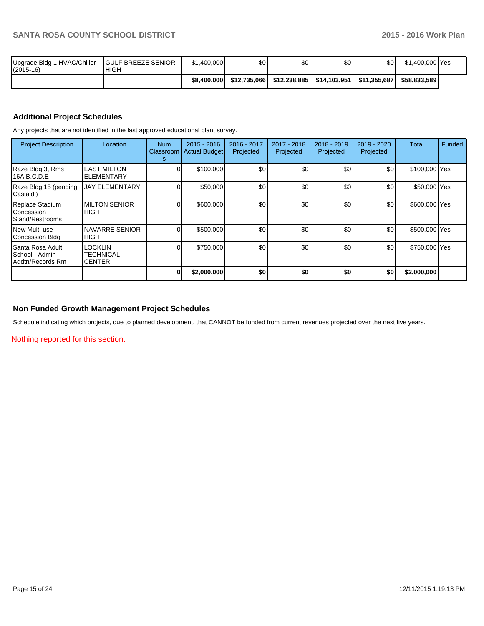| 1 HVAC/Chiller<br>Upgrade Bldg 1<br>$(2015-16)$ | <b>IGULF BREEZE SENIOR</b><br><b>HIGH</b> | \$1,400,000 | \$0          | \$0           | \$0          | \$٥١          | \$1.400.000 Yes |  |
|-------------------------------------------------|-------------------------------------------|-------------|--------------|---------------|--------------|---------------|-----------------|--|
|                                                 |                                           | \$8,400,000 | \$12.735.066 | \$12.238.8851 | \$14.103.951 | \$11.355.687l | \$58,833,589    |  |

### **Additional Project Schedules**

Any projects that are not identified in the last approved educational plant survey.

| <b>Project Description</b>                                | Location                                     | Num<br><b>Classroom</b><br>s | $2015 - 2016$<br>Actual Budget | 2016 - 2017<br>Projected | 2017 - 2018<br>Projected | $2018 - 2019$<br>Projected | 2019 - 2020<br>Projected | Total         | Funded |
|-----------------------------------------------------------|----------------------------------------------|------------------------------|--------------------------------|--------------------------|--------------------------|----------------------------|--------------------------|---------------|--------|
| Raze Bldg 3, Rms<br>16A,B,C,D,E                           | <b>EAST MILTON</b><br><b>ELEMENTARY</b>      |                              | \$100,000                      | \$0                      | \$0                      | \$0                        | \$0                      | \$100,000 Yes |        |
| Raze Bldg 15 (pending<br>Castaldi)                        | <b>JAY ELEMENTARY</b>                        |                              | \$50,000                       | \$0                      | \$0                      | \$0                        | \$0                      | \$50,000 Yes  |        |
| Replace Stadium<br>Concession<br>l Stand/Restrooms        | <b>MILTON SENIOR</b><br><b>HIGH</b>          |                              | \$600,000                      | \$0                      | \$0                      | \$0                        | \$0                      | \$600,000 Yes |        |
| l New Multi-use<br>Concession Bldg                        | NAVARRE SENIOR<br><b>HIGH</b>                |                              | \$500,000                      | \$0                      | \$0                      | \$0                        | \$0                      | \$500,000 Yes |        |
| l Santa Rosa Adult<br>ISchool - Admin<br>Addtn/Records Rm | <b>LOCKLIN</b><br>TECHNICAL<br><b>CENTER</b> |                              | \$750,000                      | \$0                      | \$0                      | \$0                        | \$0                      | \$750,000 Yes |        |
|                                                           |                                              | 0                            | \$2,000,000                    | \$0                      | \$0                      | \$0                        | \$0                      | \$2,000,000   |        |

### **Non Funded Growth Management Project Schedules**

Schedule indicating which projects, due to planned development, that CANNOT be funded from current revenues projected over the next five years.

Nothing reported for this section.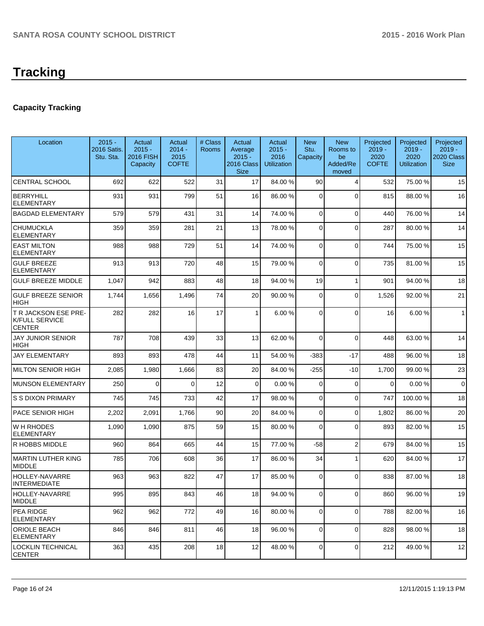# **Tracking**

# **Capacity Tracking**

| Location                                                       | $2015 -$<br>2016 Satis.<br>Stu. Sta. | Actual<br>$2015 -$<br><b>2016 FISH</b><br>Capacity | Actual<br>$2014 -$<br>2015<br><b>COFTE</b> | # Class<br>Rooms | Actual<br>Average<br>$2015 -$<br>2016 Class<br><b>Size</b> | Actual<br>$2015 -$<br>2016<br><b>Utilization</b> | <b>New</b><br>Stu.<br>Capacity | <b>New</b><br>Rooms to<br>be<br>Added/Re<br>moved | Projected<br>$2019 -$<br>2020<br><b>COFTE</b> | Projected<br>$2019 -$<br>2020<br><b>Utilization</b> | Projected<br>$2019 -$<br>2020 Class<br><b>Size</b> |
|----------------------------------------------------------------|--------------------------------------|----------------------------------------------------|--------------------------------------------|------------------|------------------------------------------------------------|--------------------------------------------------|--------------------------------|---------------------------------------------------|-----------------------------------------------|-----------------------------------------------------|----------------------------------------------------|
| <b>CENTRAL SCHOOL</b>                                          | 692                                  | 622                                                | 522                                        | 31               | 17                                                         | 84.00 %                                          | 90                             | 4                                                 | 532                                           | 75.00 %                                             | 15                                                 |
| <b>BERRYHILL</b><br><b>ELEMENTARY</b>                          | 931                                  | 931                                                | 799                                        | 51               | 16                                                         | 86.00 %                                          | 0                              | $\Omega$                                          | 815                                           | 88.00 %                                             | 16                                                 |
| <b>BAGDAD ELEMENTARY</b>                                       | 579                                  | 579                                                | 431                                        | 31               | 14                                                         | 74.00 %                                          | $\overline{0}$                 | $\Omega$                                          | 440                                           | 76.00 %                                             | 14                                                 |
| CHUMUCKLA<br><b>ELEMENTARY</b>                                 | 359                                  | 359                                                | 281                                        | 21               | 13                                                         | 78.00 %                                          | 0                              | $\Omega$                                          | 287                                           | 80.00%                                              | 14                                                 |
| <b>EAST MILTON</b><br>ELEMENTARY                               | 988                                  | 988                                                | 729                                        | 51               | 14                                                         | 74.00 %                                          | 0                              | $\Omega$                                          | 744                                           | 75.00 %                                             | 15                                                 |
| <b>GULF BREEZE</b><br><b>ELEMENTARY</b>                        | 913                                  | 913                                                | 720                                        | 48               | 15                                                         | 79.00 %                                          | 0                              | $\Omega$                                          | 735                                           | 81.00%                                              | 15                                                 |
| <b>GULF BREEZE MIDDLE</b>                                      | 1,047                                | 942                                                | 883                                        | 48               | 18                                                         | 94.00 %                                          | 19                             | 1                                                 | 901                                           | 94.00%                                              | 18                                                 |
| <b>GULF BREEZE SENIOR</b><br><b>HIGH</b>                       | 1,744                                | 1,656                                              | 1,496                                      | 74               | 20                                                         | 90.00 %                                          | 0                              | $\Omega$                                          | 1,526                                         | 92.00 %                                             | 21                                                 |
| T R JACKSON ESE PRE-<br><b>K/FULL SERVICE</b><br><b>CENTER</b> | 282                                  | 282                                                | 16                                         | 17               | 1                                                          | 6.00%                                            | 0                              | $\Omega$                                          | 16                                            | 6.00%                                               | $\mathbf{1}$                                       |
| <b>JAY JUNIOR SENIOR</b><br>HIGH                               | 787                                  | 708                                                | 439                                        | 33               | 13                                                         | 62.00 %                                          | 0                              | $\Omega$                                          | 448                                           | 63.00 %                                             | 14                                                 |
| <b>JAY ELEMENTARY</b>                                          | 893                                  | 893                                                | 478                                        | 44               | 11                                                         | 54.00 %                                          | $-383$                         | $-17$                                             | 488                                           | 96.00 %                                             | 18                                                 |
| <b>MILTON SENIOR HIGH</b>                                      | 2,085                                | 1,980                                              | 1,666                                      | 83               | 20                                                         | 84.00 %                                          | $-255$                         | -10                                               | 1,700                                         | 99.00 %                                             | 23                                                 |
| <b>MUNSON ELEMENTARY</b>                                       | 250                                  | $\Omega$                                           | $\Omega$                                   | 12               | $\overline{0}$                                             | 0.00%                                            | 0                              | $\Omega$                                          | $\Omega$                                      | 0.00%                                               | $\mathbf 0$                                        |
| <b>S S DIXON PRIMARY</b>                                       | 745                                  | 745                                                | 733                                        | 42               | 17                                                         | 98.00 %                                          | 0                              | $\mathbf 0$                                       | 747                                           | 100.00%                                             | 18                                                 |
| PACE SENIOR HIGH                                               | 2,202                                | 2,091                                              | 1,766                                      | 90               | 20                                                         | 84.00 %                                          | 0                              | $\Omega$                                          | 1,802                                         | 86.00 %                                             | 20                                                 |
| WH RHODES<br>ELEMENTARY                                        | 1,090                                | 1,090                                              | 875                                        | 59               | 15                                                         | 80.00 %                                          | 0                              | $\Omega$                                          | 893                                           | 82.00 %                                             | 15                                                 |
| R HOBBS MIDDLE                                                 | 960                                  | 864                                                | 665                                        | 44               | 15                                                         | 77.00 %                                          | $-58$                          | $\overline{2}$                                    | 679                                           | 84.00%                                              | 15                                                 |
| <b>MARTIN LUTHER KING</b><br><b>MIDDLE</b>                     | 785                                  | 706                                                | 608                                        | 36               | 17                                                         | 86.00 %                                          | 34                             | 1                                                 | 620                                           | 84.00%                                              | 17                                                 |
| HOLLEY-NAVARRE<br><b>INTERMEDIATE</b>                          | 963                                  | 963                                                | 822                                        | 47               | 17                                                         | 85.00 %                                          | 0                              | $\Omega$                                          | 838                                           | 87.00 %                                             | 18                                                 |
| HOLLEY-NAVARRE<br><b>MIDDLE</b>                                | 995                                  | 895                                                | 843                                        | 46               | 18                                                         | 94.00 %                                          | $\overline{0}$                 | $\overline{0}$                                    | 860                                           | 96.00 %                                             | 19                                                 |
| PEA RIDGE<br><b>ELEMENTARY</b>                                 | 962                                  | 962                                                | 772                                        | 49               | 16                                                         | 80.00 %                                          | $\overline{0}$                 | $\Omega$                                          | 788                                           | 82.00%                                              | 16                                                 |
| ORIOLE BEACH<br><b>ELEMENTARY</b>                              | 846                                  | 846                                                | 811                                        | 46               | 18                                                         | 96.00 %                                          | 0                              | $\Omega$                                          | 828                                           | 98.00 %                                             | 18                                                 |
| <b>LOCKLIN TECHNICAL</b><br><b>CENTER</b>                      | 363                                  | 435                                                | 208                                        | 18               | 12                                                         | 48.00 %                                          | 0                              | $\mathbf 0$                                       | 212                                           | 49.00 %                                             | 12                                                 |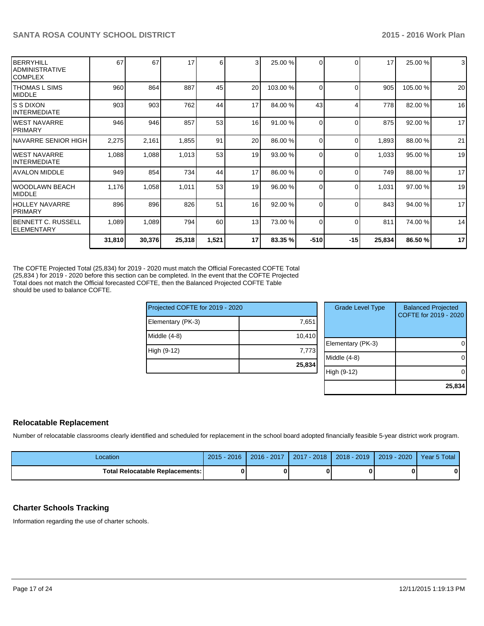| BERRYHILL<br>IADMINISTRATIVE<br>ICOMPLEX | 67     | 67     | 17     | 6     | $\overline{3}$  | 25.00 %  |          | $\Omega$ | 17     | 25.00 %  | 3  |
|------------------------------------------|--------|--------|--------|-------|-----------------|----------|----------|----------|--------|----------|----|
| ITHOMAS L SIMS<br>MIDDLE                 | 960    | 864    | 887    | 45    | 20              | 103.00 % | $\Omega$ | $\Omega$ | 905    | 105.00 % | 20 |
| IS S DIXON<br>IINTERMEDIATE              | 903    | 903    | 762    | 44    | 17              | 84.00 %  | 43       |          | 778    | 82.00 %  | 16 |
| IWEST NAVARRE<br><b>IPRIMARY</b>         | 946    | 946    | 857    | 53    | 16              | 91.00 %  | $\Omega$ | $\Omega$ | 875    | 92.00 %  | 17 |
| INAVARRE SENIOR HIGH                     | 2,275  | 2,161  | 1,855  | 91    | 20              | 86.00 %  | $\Omega$ | $\Omega$ | 1,893  | 88.00 %  | 21 |
| IWEST NAVARRE<br>IINTERMEDIATE           | 1,088  | 1,088  | 1,013  | 53    | 19              | 93.00 %  | $\Omega$ | $\Omega$ | 1,033  | 95.00 %  | 19 |
| <b>AVALON MIDDLE</b>                     | 949    | 854    | 734    | 44    | 17              | 86.00 %  | $\Omega$ | $\Omega$ | 749    | 88.00 %  | 17 |
| IWOODLAWN BEACH<br>IMIDDLE               | 1,176  | 1,058  | 1,011  | 53    | 19              | 96.00 %  | $\Omega$ | $\Omega$ | 1,031  | 97.00 %  | 19 |
| HOLLEY NAVARRE<br><b>IPRIMARY</b>        | 896    | 896    | 826    | 51    | 16              | 92.00 %  | $\Omega$ | $\Omega$ | 843    | 94.00 %  | 17 |
| IBENNETT C. RUSSELL<br>IELEMENTARY       | 1,089  | 1,089  | 794    | 60    | 13 <sup>1</sup> | 73.00 %  | $\Omega$ | $\Omega$ | 811    | 74.00 %  | 14 |
|                                          | 31,810 | 30,376 | 25,318 | 1,521 | 17              | 83.35 %  | $-510$   | $-15$    | 25,834 | 86.50 %  | 17 |

The COFTE Projected Total (25,834) for 2019 - 2020 must match the Official Forecasted COFTE Total (25,834 ) for 2019 - 2020 before this section can be completed. In the event that the COFTE Projected Total does not match the Official forecasted COFTE, then the Balanced Projected COFTE Table should be used to balance COFTE.

| Projected COFTE for 2019 - 2020 |        | <b>Grade Level Type</b> |
|---------------------------------|--------|-------------------------|
| Elementary (PK-3)               | 7,651  |                         |
| Middle (4-8)                    | 10,410 |                         |
|                                 |        | Elementary (PK-3)       |
| High (9-12)                     | 7,773  |                         |
|                                 |        | Middle (4-8)            |
|                                 | 25,834 |                         |
|                                 |        | High (9-12)             |
|                                 |        |                         |

| <b>Grade Level Type</b> | <b>Balanced Projected</b><br>COFTE for 2019 - 2020 |
|-------------------------|----------------------------------------------------|
| Elementary (PK-3)       |                                                    |
| Middle $(4-8)$          |                                                    |
| High (9-12)             |                                                    |
|                         | 25,834                                             |

# **Relocatable Replacement**

Number of relocatable classrooms clearly identified and scheduled for replacement in the school board adopted financially feasible 5-year district work program.

| Location                                 | $2015 - 2016$ | 2016 - 2017 | 2017 - 2018   2018 - 2019   2019 - 2020 | Year 5 Total |
|------------------------------------------|---------------|-------------|-----------------------------------------|--------------|
| <b>Total Relocatable Replacements: I</b> |               |             |                                         | Λ            |

### **Charter Schools Tracking**

Information regarding the use of charter schools.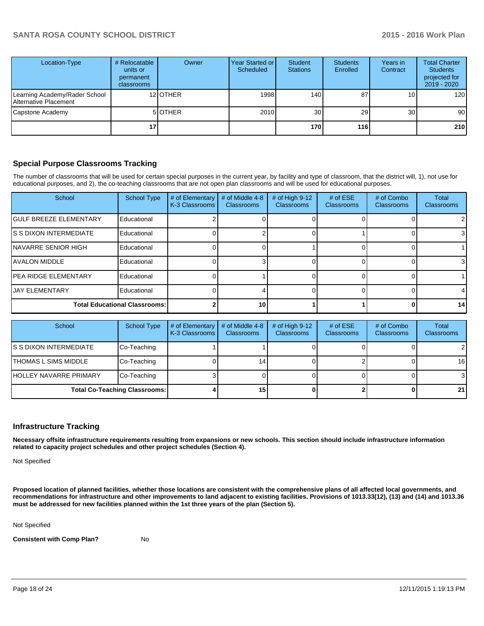| Location-Type                                          | # Relocatable<br>units or<br>permanent<br>classrooms | Owner           | Year Started or<br>Scheduled | Student<br><b>Stations</b> | <b>Students</b><br>Enrolled | Years in<br>Contract | <b>Total Charter</b><br><b>Students</b><br>projected for<br>$2019 - 2020$ |
|--------------------------------------------------------|------------------------------------------------------|-----------------|------------------------------|----------------------------|-----------------------------|----------------------|---------------------------------------------------------------------------|
| Learning Academy/Rader School<br>Alternative Placement |                                                      | 12 <b>OTHER</b> | 1998                         | 140                        | 87                          | 10 <sub>l</sub>      | 120                                                                       |
| Capstone Academy                                       |                                                      | 5 OTHER         | 2010                         | 30                         | 29                          | 30 <sub>l</sub>      | 90 <sub>l</sub>                                                           |
|                                                        |                                                      |                 |                              | 170                        | 116                         |                      | 210                                                                       |

### **Special Purpose Classrooms Tracking**

The number of classrooms that will be used for certain special purposes in the current year, by facility and type of classroom, that the district will, 1), not use for educational purposes, and 2), the co-teaching classrooms that are not open plan classrooms and will be used for educational purposes.

| School                               | <b>School Type</b> | # of Elementary<br>K-3 Classrooms | # of Middle 4-8<br><b>Classrooms</b> | # of High 9-12<br>Classrooms | # of $ESE$<br><b>Classrooms</b> | # of Combo<br><b>Classrooms</b> | Total<br>Classrooms |
|--------------------------------------|--------------------|-----------------------------------|--------------------------------------|------------------------------|---------------------------------|---------------------------------|---------------------|
| <b>IGULF BREEZE ELEMENTARY</b>       | Educational        |                                   |                                      |                              |                                 |                                 | $\overline{2}$      |
| IS S DIXON INTERMEDIATE              | Educational        |                                   |                                      |                              |                                 |                                 | 3                   |
| INAVARRE SENIOR HIGH                 | Educational        |                                   |                                      |                              |                                 |                                 |                     |
| <b>JAVALON MIDDLE</b>                | Educational        |                                   |                                      |                              |                                 |                                 | $\mathbf{3}$        |
| <b>IPEA RIDGE ELEMENTARY</b>         | Educational        |                                   |                                      |                              |                                 |                                 |                     |
| <b>JJAY ELEMENTARY</b>               | Educational        |                                   |                                      |                              |                                 |                                 |                     |
| <b>Total Educational Classrooms:</b> |                    | 10                                |                                      |                              |                                 | 14                              |                     |

| School                               | School Type | # of Elementary<br>K-3 Classrooms | # of Middle 4-8<br><b>Classrooms</b> | # of High $9-12$<br><b>Classrooms</b> | # of $ESE$<br><b>Classrooms</b> | # of Combo<br><b>Classrooms</b> | <b>Total</b><br><b>Classrooms</b> |
|--------------------------------------|-------------|-----------------------------------|--------------------------------------|---------------------------------------|---------------------------------|---------------------------------|-----------------------------------|
| IS S DIXON INTERMEDIATE              | Co-Teaching |                                   |                                      |                                       |                                 |                                 | $\overline{2}$                    |
| <b>ITHOMAS L SIMS MIDDLE</b>         | Co-Teaching |                                   | 14                                   |                                       |                                 |                                 | 16                                |
| <b>IHOLLEY NAVARRE PRIMARY</b>       | Co-Teaching |                                   |                                      |                                       |                                 |                                 | 3                                 |
| <b>Total Co-Teaching Classrooms:</b> |             |                                   | 15                                   |                                       |                                 |                                 | 21                                |

### **Infrastructure Tracking**

**Necessary offsite infrastructure requirements resulting from expansions or new schools. This section should include infrastructure information related to capacity project schedules and other project schedules (Section 4).**

Not Specified

**Proposed location of planned facilities, whether those locations are consistent with the comprehensive plans of all affected local governments, and recommendations for infrastructure and other improvements to land adjacent to existing facilities. Provisions of 1013.33(12), (13) and (14) and 1013.36 must be addressed for new facilities planned within the 1st three years of the plan (Section 5).**

Not Specified

**Consistent with Comp Plan?** No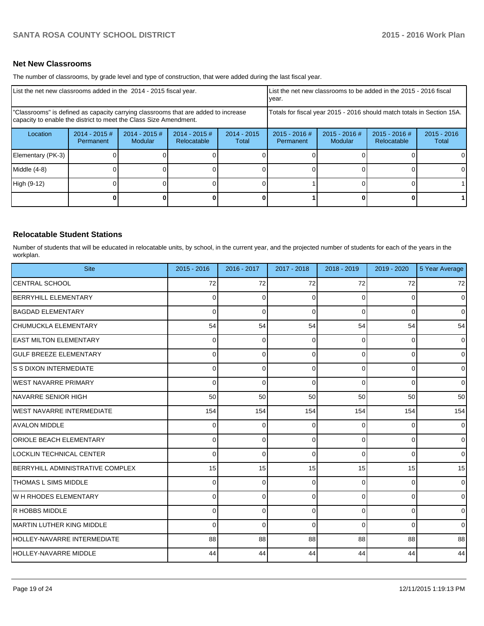### **Net New Classrooms**

The number of classrooms, by grade level and type of construction, that were added during the last fiscal year.

| List the net new classrooms added in the 2014 - 2015 fiscal year.                                                                                       | List the net new classrooms to be added in the 2015 - 2016 fiscal<br>vear. |                                   |                                |                        |                              |                            |                                |                        |
|---------------------------------------------------------------------------------------------------------------------------------------------------------|----------------------------------------------------------------------------|-----------------------------------|--------------------------------|------------------------|------------------------------|----------------------------|--------------------------------|------------------------|
| "Classrooms" is defined as capacity carrying classrooms that are added to increase<br>capacity to enable the district to meet the Class Size Amendment. | Totals for fiscal year 2015 - 2016 should match totals in Section 15A.     |                                   |                                |                        |                              |                            |                                |                        |
| Location                                                                                                                                                | $2014 - 2015 \#$<br>Permanent                                              | $2014 - 2015$ #<br><b>Modular</b> | $2014 - 2015$ #<br>Relocatable | $2014 - 2015$<br>Total | $2015 - 2016$ #<br>Permanent | $2015 - 2016$ #<br>Modular | $2015 - 2016$ #<br>Relocatable | $2015 - 2016$<br>Total |
| Elementary (PK-3)                                                                                                                                       |                                                                            |                                   |                                |                        |                              |                            |                                |                        |
| Middle (4-8)                                                                                                                                            |                                                                            |                                   |                                |                        |                              |                            |                                |                        |
| High (9-12)                                                                                                                                             |                                                                            |                                   |                                |                        |                              |                            |                                |                        |
|                                                                                                                                                         |                                                                            |                                   |                                |                        |                              |                            |                                |                        |

### **Relocatable Student Stations**

Number of students that will be educated in relocatable units, by school, in the current year, and the projected number of students for each of the years in the workplan.

| <b>Site</b>                       | $2015 - 2016$ | 2016 - 2017 | 2017 - 2018  | 2018 - 2019 | 2019 - 2020 | 5 Year Average |
|-----------------------------------|---------------|-------------|--------------|-------------|-------------|----------------|
| <b>CENTRAL SCHOOL</b>             | 72            | 72          | 72           | 72          | 72          | 72             |
| BERRYHILL ELEMENTARY              | $\Omega$      | $\Omega$    | 0            | $\Omega$    | 0           | $\overline{0}$ |
| <b>BAGDAD ELEMENTARY</b>          | $\Omega$      | $\Omega$    | $\Omega$     | $\Omega$    | 0           | $\overline{0}$ |
| CHUMUCKLA ELEMENTARY              | 54            | 54          | 54           | 54          | 54          | 54             |
| <b>LEAST MILTON ELEMENTARY</b>    | 0             | $\Omega$    | 0            | 0           | 0           | $\Omega$       |
| <b>GULF BREEZE ELEMENTARY</b>     | 0             | $\Omega$    | 0            | $\Omega$    | $\Omega$    | $\overline{0}$ |
| S S DIXON INTERMEDIATE            | $\Omega$      | $\Omega$    | 0            | $\Omega$    | $\Omega$    | $\overline{0}$ |
| <b>IWEST NAVARRE PRIMARY</b>      | 0             | 0           | 0            | $\Omega$    | $\Omega$    | $\overline{0}$ |
| INAVARRE SENIOR HIGH              | 50            | 50          | 50           | 50          | 50          | 50             |
| <b>IWEST NAVARRE INTERMEDIATE</b> | 154           | 154         | 154          | 154         | 154         | 154            |
| <b>AVALON MIDDLE</b>              | 0             | $\Omega$    | $\Omega$     | 0           | $\Omega$    | $\overline{0}$ |
| <b>ORIOLE BEACH ELEMENTARY</b>    | 0             | $\Omega$    | <sup>0</sup> | $\Omega$    | 0           | $\overline{0}$ |
| LOCKLIN TECHNICAL CENTER          | 0             | 0           | 0            | $\Omega$    | $\Omega$    | $\overline{0}$ |
| BERRYHILL ADMINISTRATIVE COMPLEX  | 15            | 15          | 15           | 15          | 15          | 15             |
| <b>ITHOMAS L SIMS MIDDLE</b>      | $\Omega$      | $\Omega$    | 0            | $\Omega$    | 0           | $\Omega$       |
| <b>I</b> W H RHODES ELEMENTARY    | $\Omega$      | $\Omega$    | 0            | $\Omega$    | $\Omega$    | $\overline{0}$ |
| <b>R HOBBS MIDDLE</b>             | $\Omega$      | $\Omega$    | <sup>0</sup> | $\Omega$    | $\Omega$    | $\overline{0}$ |
| MARTIN LUTHER KING MIDDLE         | 0             | $\Omega$    | 0            | $\Omega$    | 0           | $\overline{0}$ |
| HOLLEY-NAVARRE INTERMEDIATE       | 88            | 88          | 88           | 88          | 88          | 88             |
| HOLLEY-NAVARRE MIDDLE             | 44            | 44          | 44           | 44          | 44          | 44             |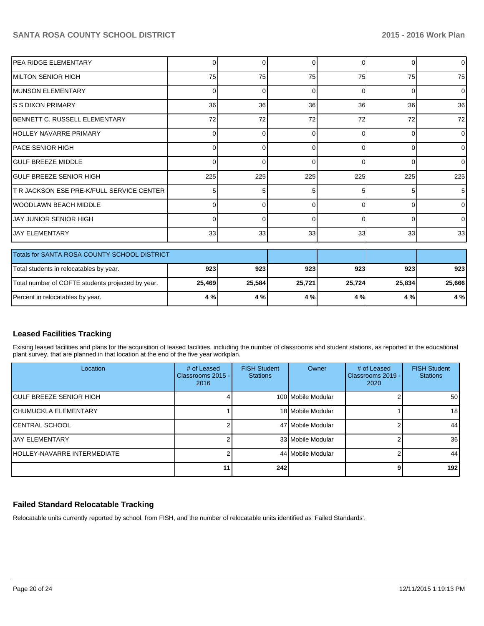| <b>PEA RIDGE ELEMENTARY</b>                       | 0            | 0            | $\Omega$ | $\Omega$ | $\Omega$ | $\overline{0}$ |
|---------------------------------------------------|--------------|--------------|----------|----------|----------|----------------|
| IMILTON SENIOR HIGH                               | 75           | 75           | 75       | 75       | 75       | 75             |
| <b>IMUNSON ELEMENTARY</b>                         | 0            | 0            | 0        | $\Omega$ | $\Omega$ | $\Omega$       |
| IS S DIXON PRIMARY                                | 36           | 36           | 36       | 36       | 36       | 36             |
| IBENNETT C. RUSSELL ELEMENTARY                    | 72           | 72           | 72       | 72       | 72       | 72             |
| IHOLLEY NAVARRE PRIMARY                           | 0            | <sup>0</sup> | O        | ∩        | $\Omega$ | $\overline{0}$ |
| IPACE SENIOR HIGH                                 | 0            | 0            | 0        | $\Omega$ | $\Omega$ | $\overline{0}$ |
| <b>GULF BREEZE MIDDLE</b>                         | 0            | $\Omega$     | 0        | $\Omega$ | $\Omega$ | $\overline{0}$ |
| <b>GULF BREEZE SENIOR HIGH</b>                    | 225          | 225          | 225      | 225      | 225      | 225            |
| <b>T R JACKSON ESE PRE-K/FULL SERVICE CENTER</b>  | 5            | 5            | 5        | 5        | 5        | 5              |
| IWOODLAWN BEACH MIDDLE                            | <sup>0</sup> | $\Omega$     | O        | $\Omega$ | $\Omega$ | $\Omega$       |
| JAY JUNIOR SENIOR HIGH                            | 0            | 0            | 0        | $\Omega$ | $\Omega$ | $\Omega$       |
| <b>JAY ELEMENTARY</b>                             | 33           | 33           | 33       | 33       | 33       | 33             |
| Totals for SANTA ROSA COUNTY SCHOOL DISTRICT      |              |              |          |          |          |                |
| Total students in relocatables by year.           | 923          | 923          | 923      | 923      | 923      | 923            |
| Total number of COFTE students projected by year. | 25,469       | 25,584       | 25,721   | 25,724   | 25,834   | 25,666         |
| Percent in relocatables by year.                  | 4 %          | 4 %          | 4 %      | 4 %      | 4 %      | 4%             |

## **Leased Facilities Tracking**

Exising leased facilities and plans for the acquisition of leased facilities, including the number of classrooms and student stations, as reported in the educational plant survey, that are planned in that location at the end of the five year workplan.

| Location                            | # of Leased<br>Classrooms 2015 -<br>2016 | <b>FISH Student</b><br><b>Stations</b> | Owner              | # of Leased<br>Classrooms 2019 -<br>2020 | <b>FISH Student</b><br><b>Stations</b> |
|-------------------------------------|------------------------------------------|----------------------------------------|--------------------|------------------------------------------|----------------------------------------|
| IGULF BREEZE SENIOR HIGH            |                                          |                                        | 100 Mobile Modular |                                          | 50                                     |
| İCHUMUCKLA ELEMENTARY               |                                          |                                        | 18 Mobile Modular  |                                          | 18 <sub>l</sub>                        |
| ICENTRAL SCHOOL                     |                                          |                                        | 47 Mobile Modular  |                                          | 44                                     |
| <b>IJAY ELEMENTARY</b>              |                                          |                                        | 33 Mobile Modular  |                                          | 36 <sup>l</sup>                        |
| <b>IHOLLEY-NAVARRE INTERMEDIATE</b> |                                          |                                        | 44 Mobile Modular  |                                          | 44                                     |
|                                     |                                          | 242                                    |                    |                                          | 192                                    |

## **Failed Standard Relocatable Tracking**

Relocatable units currently reported by school, from FISH, and the number of relocatable units identified as 'Failed Standards'.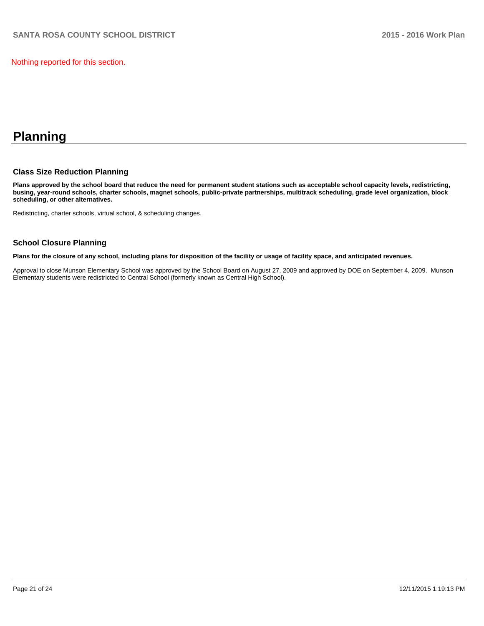Nothing reported for this section.

# **Planning**

### **Class Size Reduction Planning**

**Plans approved by the school board that reduce the need for permanent student stations such as acceptable school capacity levels, redistricting, busing, year-round schools, charter schools, magnet schools, public-private partnerships, multitrack scheduling, grade level organization, block scheduling, or other alternatives.**

Redistricting, charter schools, virtual school, & scheduling changes.

### **School Closure Planning**

**Plans for the closure of any school, including plans for disposition of the facility or usage of facility space, and anticipated revenues.**

Approval to close Munson Elementary School was approved by the School Board on August 27, 2009 and approved by DOE on September 4, 2009. Munson Elementary students were redistricted to Central School (formerly known as Central High School).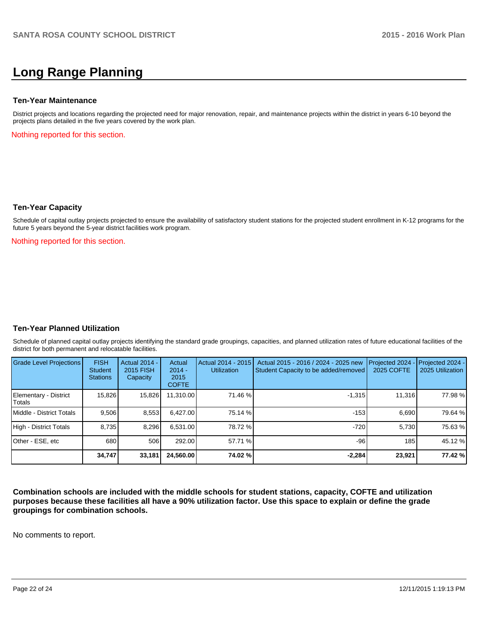# **Long Range Planning**

### **Ten-Year Maintenance**

District projects and locations regarding the projected need for major renovation, repair, and maintenance projects within the district in years 6-10 beyond the projects plans detailed in the five years covered by the work plan.

Nothing reported for this section.

### **Ten-Year Capacity**

Schedule of capital outlay projects projected to ensure the availability of satisfactory student stations for the projected student enrollment in K-12 programs for the future 5 years beyond the 5-year district facilities work program.

Nothing reported for this section.

### **Ten-Year Planned Utilization**

Schedule of planned capital outlay projects identifying the standard grade groupings, capacities, and planned utilization rates of future educational facilities of the district for both permanent and relocatable facilities.

| Grade Level Projections         | <b>FISH</b><br><b>Student</b><br><b>Stations</b> | Actual 2014 -<br>2015 FISH<br>Capacity | Actual<br>$2014 -$<br>2015<br><b>COFTE</b> | Actual 2014 - 2015<br><b>Utilization</b> | Actual 2015 - 2016 / 2024 - 2025 new<br>Student Capacity to be added/removed | Projected 2024<br>2025 COFTE | Projected 2024 -<br>2025 Utilization |
|---------------------------------|--------------------------------------------------|----------------------------------------|--------------------------------------------|------------------------------------------|------------------------------------------------------------------------------|------------------------------|--------------------------------------|
| Elementary - District<br>Totals | 15,826                                           | 15,826                                 | 11,310.00                                  | 71.46 %                                  | $-1,315$                                                                     | 11,316                       | 77.98%                               |
| Middle - District Totals        | 9.506                                            | 8,553                                  | 6.427.00                                   | 75.14 %                                  | $-153$                                                                       | 6.690                        | 79.64 %                              |
| High - District Totals          | 8.735                                            | 8.296                                  | 6.531.00                                   | 78.72 %                                  | $-720$                                                                       | 5.730                        | 75.63%                               |
| Other - ESE, etc                | 680                                              | 506                                    | 292.00                                     | 57.71 %                                  | $-96$                                                                        | 185                          | 45.12 %                              |
|                                 | 34,747                                           | 33,181                                 | 24.560.00                                  | 74.02 %l                                 | $-2,284$                                                                     | 23,921                       | 77.42 %                              |

**Combination schools are included with the middle schools for student stations, capacity, COFTE and utilization purposes because these facilities all have a 90% utilization factor. Use this space to explain or define the grade groupings for combination schools.**

No comments to report.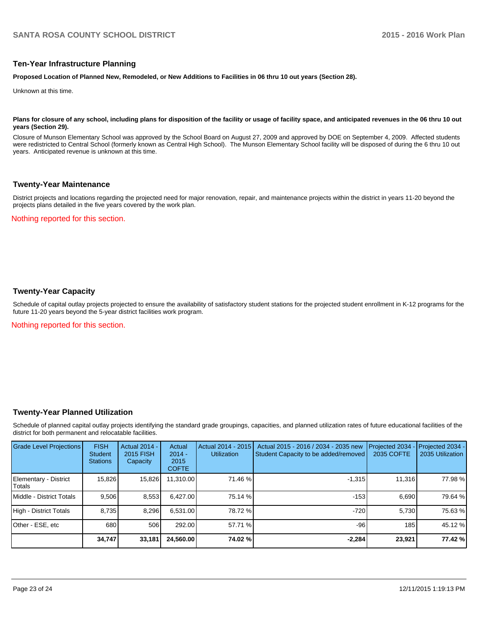### **Ten-Year Infrastructure Planning**

**Proposed Location of Planned New, Remodeled, or New Additions to Facilities in 06 thru 10 out years (Section 28).**

Unknown at this time.

#### Plans for closure of any school, including plans for disposition of the facility or usage of facility space, and anticipated revenues in the 06 thru 10 out **years (Section 29).**

Closure of Munson Elementary School was approved by the School Board on August 27, 2009 and approved by DOE on September 4, 2009. Affected students were redistricted to Central School (formerly known as Central High School). The Munson Elementary School facility will be disposed of during the 6 thru 10 out years. Anticipated revenue is unknown at this time.

### **Twenty-Year Maintenance**

District projects and locations regarding the projected need for major renovation, repair, and maintenance projects within the district in years 11-20 beyond the projects plans detailed in the five years covered by the work plan.

### Nothing reported for this section.

### **Twenty-Year Capacity**

Schedule of capital outlay projects projected to ensure the availability of satisfactory student stations for the projected student enrollment in K-12 programs for the future 11-20 years beyond the 5-year district facilities work program.

Nothing reported for this section.

### **Twenty-Year Planned Utilization**

Schedule of planned capital outlay projects identifying the standard grade groupings, capacities, and planned utilization rates of future educational facilities of the district for both permanent and relocatable facilities.

| <b>Grade Level Projections</b>         | <b>FISH</b><br><b>Student</b><br><b>Stations</b> | <b>Actual 2014 -</b><br>2015 FISH<br>Capacity | Actual<br>$2014 -$<br>2015<br><b>COFTE</b> | Actual 2014 - 2015<br><b>Utilization</b> | Actual 2015 - 2016 / 2034 - 2035 new<br>Student Capacity to be added/removed | Projected 2034<br>2035 COFTE | Projected 2034 -<br>2035 Utilization |
|----------------------------------------|--------------------------------------------------|-----------------------------------------------|--------------------------------------------|------------------------------------------|------------------------------------------------------------------------------|------------------------------|--------------------------------------|
| Elementary - District<br><b>Totals</b> | 15,826                                           | 15,826                                        | 11,310.00                                  | 71.46 %                                  | $-1,315$                                                                     | 11,316                       | 77.98 %                              |
| Middle - District Totals               | 9,506                                            | 8,553                                         | 6.427.00                                   | 75.14 %                                  | $-153$                                                                       | 6.690                        | 79.64 %                              |
| High - District Totals                 | 8,735                                            | 8,296                                         | 6,531.00                                   | 78.72 %                                  | $-720$                                                                       | 5,730                        | 75.63 %                              |
| Other - ESE, etc                       | 680                                              | 506                                           | 292.00                                     | 57.71 %                                  | $-96$                                                                        | 185                          | 45.12 %                              |
|                                        | 34,747                                           | 33,181                                        | 24,560.00                                  | 74.02 %l                                 | $-2,284$                                                                     | 23,921                       | 77.42 %                              |